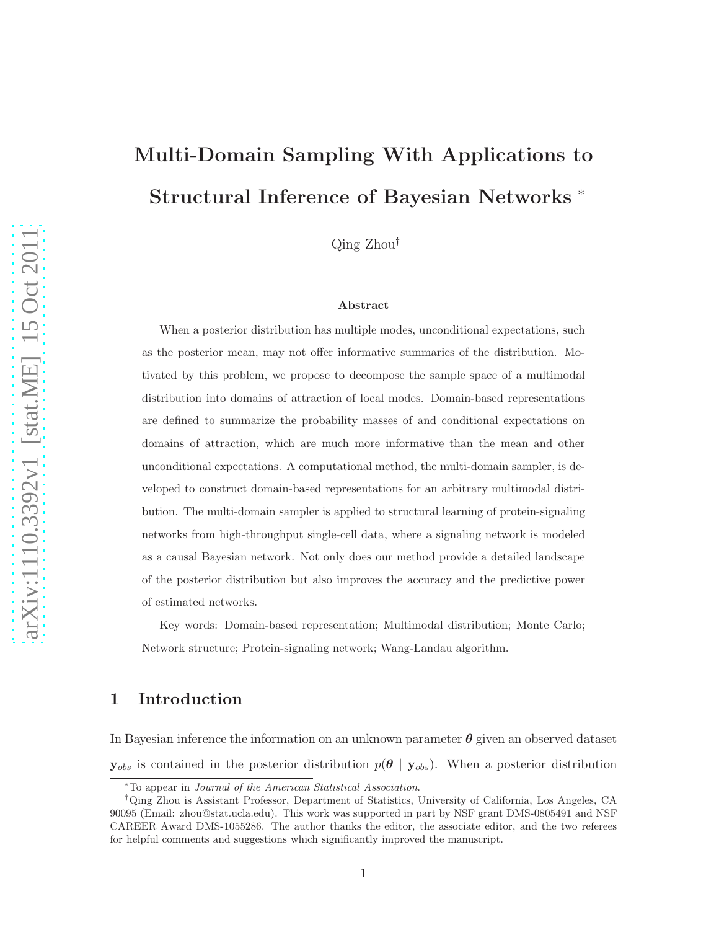# Multi-Domain Sampling With Applications to Structural Inference of Bayesian Networks <sup>∗</sup>

Qing Zhou†

#### Abstract

When a posterior distribution has multiple modes, unconditional expectations, such as the posterior mean, may not offer informative summaries of the distribution. Motivated by this problem, we propose to decompose the sample space of a multimodal distribution into domains of attraction of local modes. Domain-based representations are defined to summarize the probability masses of and conditional expectations on domains of attraction, which are much more informative than the mean and other unconditional expectations. A computational method, the multi-domain sampler, is developed to construct domain-based representations for an arbitrary multimodal distribution. The multi-domain sampler is applied to structural learning of protein-signaling networks from high-throughput single-cell data, where a signaling network is modeled as a causal Bayesian network. Not only does our method provide a detailed landscape of the posterior distribution but also improves the accuracy and the predictive power of estimated networks.

Key words: Domain-based representation; Multimodal distribution; Monte Carlo; Network structure; Protein-signaling network; Wang-Landau algorithm.

# 1 Introduction

In Bayesian inference the information on an unknown parameter  $\theta$  given an observed dataset  $y_{obs}$  is contained in the posterior distribution  $p(\theta | y_{obs})$ . When a posterior distribution

<sup>∗</sup>To appear in Journal of the American Statistical Association.

<sup>†</sup>Qing Zhou is Assistant Professor, Department of Statistics, University of California, Los Angeles, CA 90095 (Email: zhou@stat.ucla.edu). This work was supported in part by NSF grant DMS-0805491 and NSF CAREER Award DMS-1055286. The author thanks the editor, the associate editor, and the two referees for helpful comments and suggestions which significantly improved the manuscript.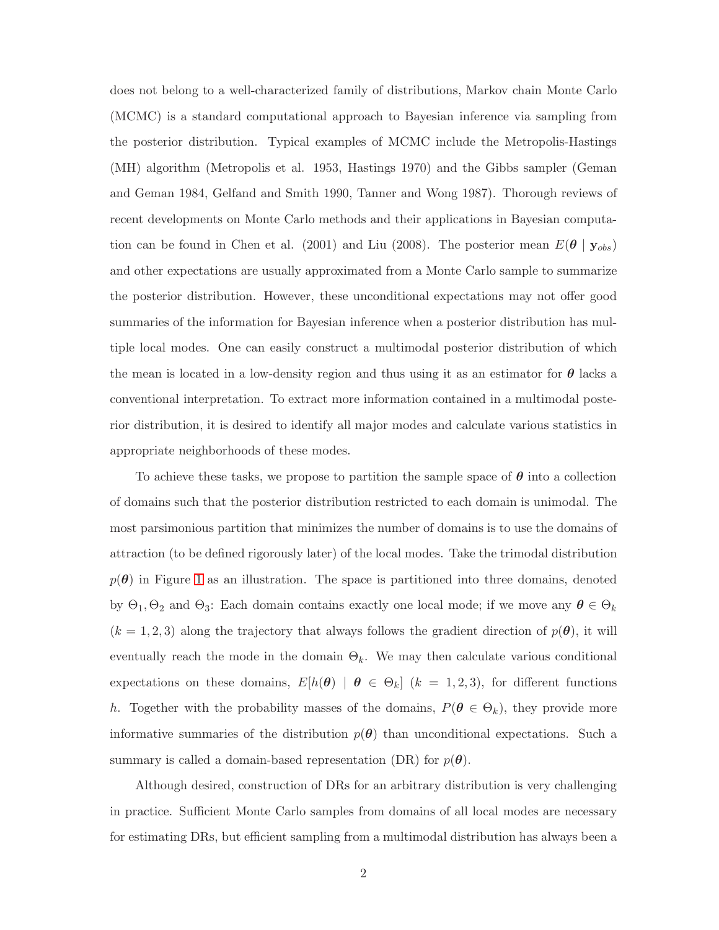does not belong to a well-characterized family of distributions, Markov chain Monte Carlo (MCMC) is a standard computational approach to Bayesian inference via sampling from the posterior distribution. Typical examples of MCMC include the Metropolis-Hastings (MH) algorithm (Metropolis et al. 1953, Hastings 1970) and the Gibbs sampler (Geman and Geman 1984, Gelfand and Smith 1990, Tanner and Wong 1987). Thorough reviews of recent developments on Monte Carlo methods and their applications in Bayesian computation can be found in Chen et al. (2001) and Liu (2008). The posterior mean  $E(\theta | y_{obs})$ and other expectations are usually approximated from a Monte Carlo sample to summarize the posterior distribution. However, these unconditional expectations may not offer good summaries of the information for Bayesian inference when a posterior distribution has multiple local modes. One can easily construct a multimodal posterior distribution of which the mean is located in a low-density region and thus using it as an estimator for  $\theta$  lacks a conventional interpretation. To extract more information contained in a multimodal posterior distribution, it is desired to identify all major modes and calculate various statistics in appropriate neighborhoods of these modes.

To achieve these tasks, we propose to partition the sample space of  $\theta$  into a collection of domains such that the posterior distribution restricted to each domain is unimodal. The most parsimonious partition that minimizes the number of domains is to use the domains of attraction (to be defined rigorously later) of the local modes. Take the trimodal distribution  $p(\theta)$  in Figure 1 as an illustration. The space is partitioned into three domains, denoted by  $\Theta_1, \Theta_2$  and  $\Theta_3$ : Each domain contains exactly one local mode; if we move any  $\theta \in \Theta_k$  $(k = 1, 2, 3)$  along the trajectory that always follows the gradient direction of  $p(\theta)$ , it will eventually reach the mode in the domain  $\Theta_k$ . We may then calculate various conditional expectations on these domains,  $E[h(\theta) | \theta \in \Theta_k]$   $(k = 1, 2, 3)$ , for different functions h. Together with the probability masses of the domains,  $P(\theta \in \Theta_k)$ , they provide more informative summaries of the distribution  $p(\theta)$  than unconditional expectations. Such a summary is called a domain-based representation (DR) for  $p(\theta)$ .

Although desired, construction of DRs for an arbitrary distribution is very challenging in practice. Sufficient Monte Carlo samples from domains of all local modes are necessary for estimating DRs, but efficient sampling from a multimodal distribution has always been a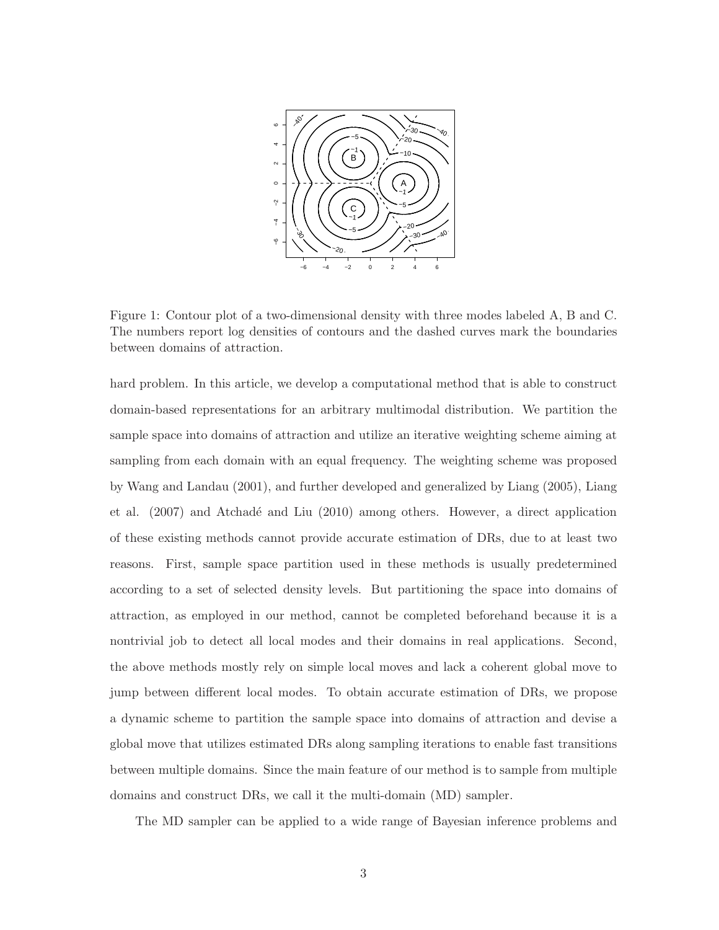

Figure 1: Contour plot of a two-dimensional density with three modes labeled A, B and C. The numbers report log densities of contours and the dashed curves mark the boundaries between domains of attraction.

hard problem. In this article, we develop a computational method that is able to construct domain-based representations for an arbitrary multimodal distribution. We partition the sample space into domains of attraction and utilize an iterative weighting scheme aiming at sampling from each domain with an equal frequency. The weighting scheme was proposed by Wang and Landau (2001), and further developed and generalized by Liang (2005), Liang et al. (2007) and Atchadé and Liu (2010) among others. However, a direct application of these existing methods cannot provide accurate estimation of DRs, due to at least two reasons. First, sample space partition used in these methods is usually predetermined according to a set of selected density levels. But partitioning the space into domains of attraction, as employed in our method, cannot be completed beforehand because it is a nontrivial job to detect all local modes and their domains in real applications. Second, the above methods mostly rely on simple local moves and lack a coherent global move to jump between different local modes. To obtain accurate estimation of DRs, we propose a dynamic scheme to partition the sample space into domains of attraction and devise a global move that utilizes estimated DRs along sampling iterations to enable fast transitions between multiple domains. Since the main feature of our method is to sample from multiple domains and construct DRs, we call it the multi-domain (MD) sampler.

The MD sampler can be applied to a wide range of Bayesian inference problems and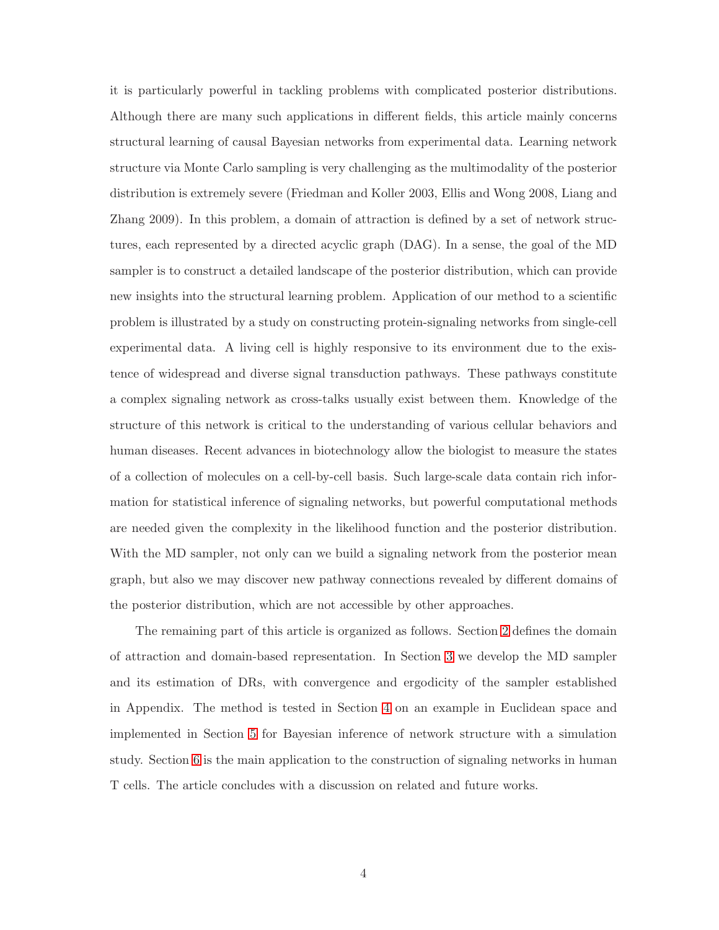it is particularly powerful in tackling problems with complicated posterior distributions. Although there are many such applications in different fields, this article mainly concerns structural learning of causal Bayesian networks from experimental data. Learning network structure via Monte Carlo sampling is very challenging as the multimodality of the posterior distribution is extremely severe (Friedman and Koller 2003, Ellis and Wong 2008, Liang and Zhang 2009). In this problem, a domain of attraction is defined by a set of network structures, each represented by a directed acyclic graph (DAG). In a sense, the goal of the MD sampler is to construct a detailed landscape of the posterior distribution, which can provide new insights into the structural learning problem. Application of our method to a scientific problem is illustrated by a study on constructing protein-signaling networks from single-cell experimental data. A living cell is highly responsive to its environment due to the existence of widespread and diverse signal transduction pathways. These pathways constitute a complex signaling network as cross-talks usually exist between them. Knowledge of the structure of this network is critical to the understanding of various cellular behaviors and human diseases. Recent advances in biotechnology allow the biologist to measure the states of a collection of molecules on a cell-by-cell basis. Such large-scale data contain rich information for statistical inference of signaling networks, but powerful computational methods are needed given the complexity in the likelihood function and the posterior distribution. With the MD sampler, not only can we build a signaling network from the posterior mean graph, but also we may discover new pathway connections revealed by different domains of the posterior distribution, which are not accessible by other approaches.

The remaining part of this article is organized as follows. Section 2 defines the domain of attraction and domain-based representation. In Section 3 we develop the MD sampler and its estimation of DRs, with convergence and ergodicity of the sampler established in Appendix. The method is tested in Section 4 on an example in Euclidean space and implemented in Section 5 for Bayesian inference of network structure with a simulation study. Section 6 is the main application to the construction of signaling networks in human T cells. The article concludes with a discussion on related and future works.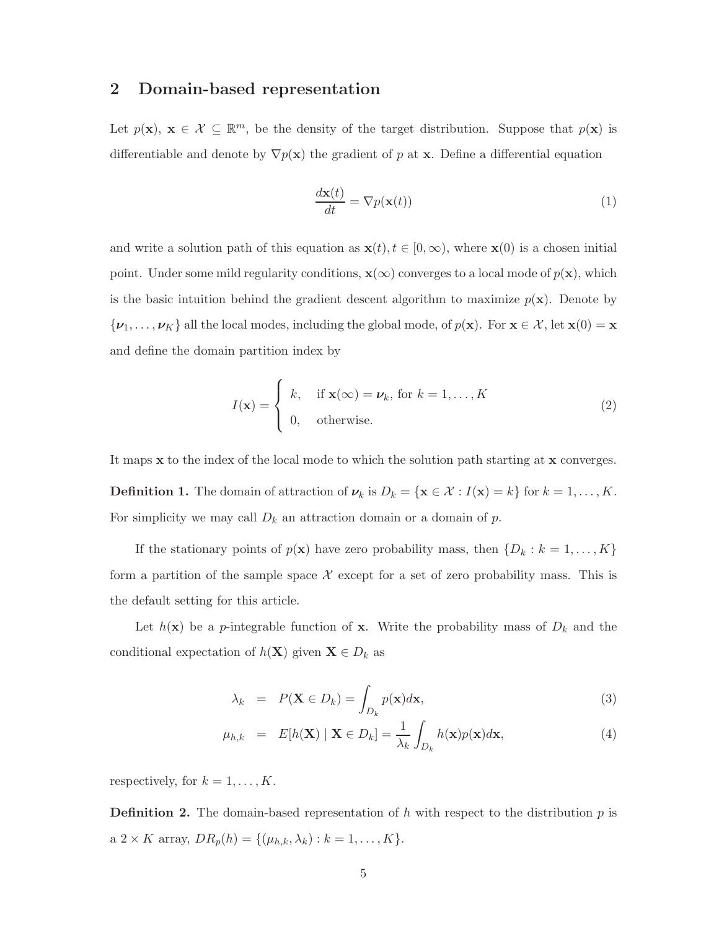# 2 Domain-based representation

Let  $p(\mathbf{x}), \mathbf{x} \in \mathcal{X} \subseteq \mathbb{R}^m$ , be the density of the target distribution. Suppose that  $p(\mathbf{x})$  is differentiable and denote by  $\nabla p(\mathbf{x})$  the gradient of p at **x**. Define a differential equation

$$
\frac{d\mathbf{x}(t)}{dt} = \nabla p(\mathbf{x}(t))\tag{1}
$$

and write a solution path of this equation as  $\mathbf{x}(t), t \in [0,\infty)$ , where  $\mathbf{x}(0)$  is a chosen initial point. Under some mild regularity conditions,  $\mathbf{x}(\infty)$  converges to a local mode of  $p(\mathbf{x})$ , which is the basic intuition behind the gradient descent algorithm to maximize  $p(x)$ . Denote by  $\{\boldsymbol{\nu}_1,\ldots,\boldsymbol{\nu}_K\}$  all the local modes, including the global mode, of  $p(\mathbf{x})$ . For  $\mathbf{x} \in \mathcal{X}$ , let  $\mathbf{x}(0) = \mathbf{x}$ and define the domain partition index by

$$
I(\mathbf{x}) = \begin{cases} k, & \text{if } \mathbf{x}(\infty) = \nu_k \text{, for } k = 1, \dots, K \\ 0, & \text{otherwise.} \end{cases} \tag{2}
$$

It maps x to the index of the local mode to which the solution path starting at x converges. **Definition 1.** The domain of attraction of  $\nu_k$  is  $D_k = {\mathbf{x} \in \mathcal{X} : I(\mathbf{x}) = k}$  for  $k = 1, ..., K$ . For simplicity we may call  $D_k$  an attraction domain or a domain of  $p$ .

If the stationary points of  $p(\mathbf{x})$  have zero probability mass, then  $\{D_k : k = 1, \ldots, K\}$ form a partition of the sample space  $\mathcal X$  except for a set of zero probability mass. This is the default setting for this article.

Let  $h(\mathbf{x})$  be a p-integrable function of **x**. Write the probability mass of  $D_k$  and the conditional expectation of  $h(\mathbf{X})$  given  $\mathbf{X} \in D_k$  as

$$
\lambda_k = P(\mathbf{X} \in D_k) = \int_{D_k} p(\mathbf{x}) d\mathbf{x},\tag{3}
$$

$$
\mu_{h,k} = E[h(\mathbf{X}) \mid \mathbf{X} \in D_k] = \frac{1}{\lambda_k} \int_{D_k} h(\mathbf{x}) p(\mathbf{x}) d\mathbf{x}, \tag{4}
$$

respectively, for  $k = 1, \ldots, K$ .

**Definition 2.** The domain-based representation of h with respect to the distribution  $p$  is a 2 × K array,  $DR_p(h) = \{(\mu_{h,k}, \lambda_k) : k = 1, ..., K\}.$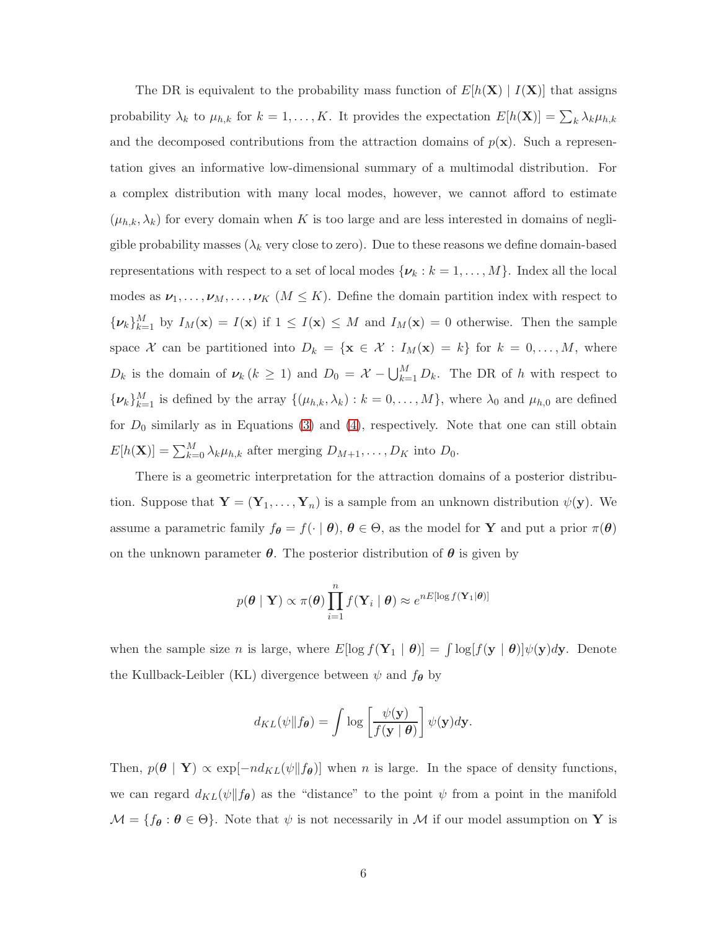The DR is equivalent to the probability mass function of  $E[h(X) | I(X)]$  that assigns probability  $\lambda_k$  to  $\mu_{h,k}$  for  $k = 1, ..., K$ . It provides the expectation  $E[h(\mathbf{X})] = \sum_k \lambda_k \mu_{h,k}$ and the decomposed contributions from the attraction domains of  $p(x)$ . Such a representation gives an informative low-dimensional summary of a multimodal distribution. For a complex distribution with many local modes, however, we cannot afford to estimate  $(\mu_{h,k}, \lambda_k)$  for every domain when K is too large and are less interested in domains of negligible probability masses ( $\lambda_k$  very close to zero). Due to these reasons we define domain-based representations with respect to a set of local modes  $\{\boldsymbol{\nu}_k : k = 1, \dots, M\}$ . Index all the local modes as  $\nu_1, \ldots, \nu_M, \ldots, \nu_K \ (M \leq K)$ . Define the domain partition index with respect to  $\{\nu_k\}_{k=1}^M$  by  $I_M(\mathbf{x}) = I(\mathbf{x})$  if  $1 \leq I(\mathbf{x}) \leq M$  and  $I_M(\mathbf{x}) = 0$  otherwise. Then the sample space X can be partitioned into  $D_k = {\mathbf{x} \in \mathcal{X} : I_M(\mathbf{x}) = k}$  for  $k = 0, ..., M$ , where  $D_k$  is the domain of  $\nu_k$  ( $k \geq 1$ ) and  $D_0 = \mathcal{X} - \bigcup_{k=1}^M D_k$ . The DR of h with respect to  $\{\boldsymbol{\nu}_k\}_{k=1}^M$  is defined by the array  $\{(\mu_{h,k}, \lambda_k) : k = 0, \ldots, M\}$ , where  $\lambda_0$  and  $\mu_{h,0}$  are defined for  $D_0$  similarly as in Equations (3) and (4), respectively. Note that one can still obtain  $E[h(\mathbf{X})] = \sum_{k=0}^{M} \lambda_k \mu_{h,k}$  after merging  $D_{M+1}, \ldots, D_K$  into  $D_0$ .

There is a geometric interpretation for the attraction domains of a posterior distribution. Suppose that  $\mathbf{Y} = (\mathbf{Y}_1, \dots, \mathbf{Y}_n)$  is a sample from an unknown distribution  $\psi(\mathbf{y})$ . We assume a parametric family  $f_{\theta} = f(\cdot | \theta), \theta \in \Theta$ , as the model for **Y** and put a prior  $\pi(\theta)$ on the unknown parameter  $\theta$ . The posterior distribution of  $\theta$  is given by

$$
p(\boldsymbol{\theta} | \mathbf{Y}) \propto \pi(\boldsymbol{\theta}) \prod_{i=1}^{n} f(\mathbf{Y}_i | \boldsymbol{\theta}) \approx e^{nE[\log f(\mathbf{Y}_1 | \boldsymbol{\theta})]}
$$

when the sample size *n* is large, where  $E[\log f(\mathbf{Y}_1 | \boldsymbol{\theta})] = \int \log[f(\mathbf{y} | \boldsymbol{\theta})] \psi(\mathbf{y}) d\mathbf{y}$ . Denote the Kullback-Leibler (KL) divergence between  $\psi$  and  $f_{\theta}$  by

$$
d_{KL}(\psi \| f_{\theta}) = \int \log \left[ \frac{\psi(\mathbf{y})}{f(\mathbf{y} \mid \theta)} \right] \psi(\mathbf{y}) d\mathbf{y}.
$$

Then,  $p(\theta | \mathbf{Y}) \propto \exp[-nd_{KL}(\psi||f_{\theta})]$  when n is large. In the space of density functions, we can regard  $d_{KL}(\psi||f_{\theta})$  as the "distance" to the point  $\psi$  from a point in the manifold  $\mathcal{M} = \{f_{\theta} : \theta \in \Theta\}$ . Note that  $\psi$  is not necessarily in M if our model assumption on Y is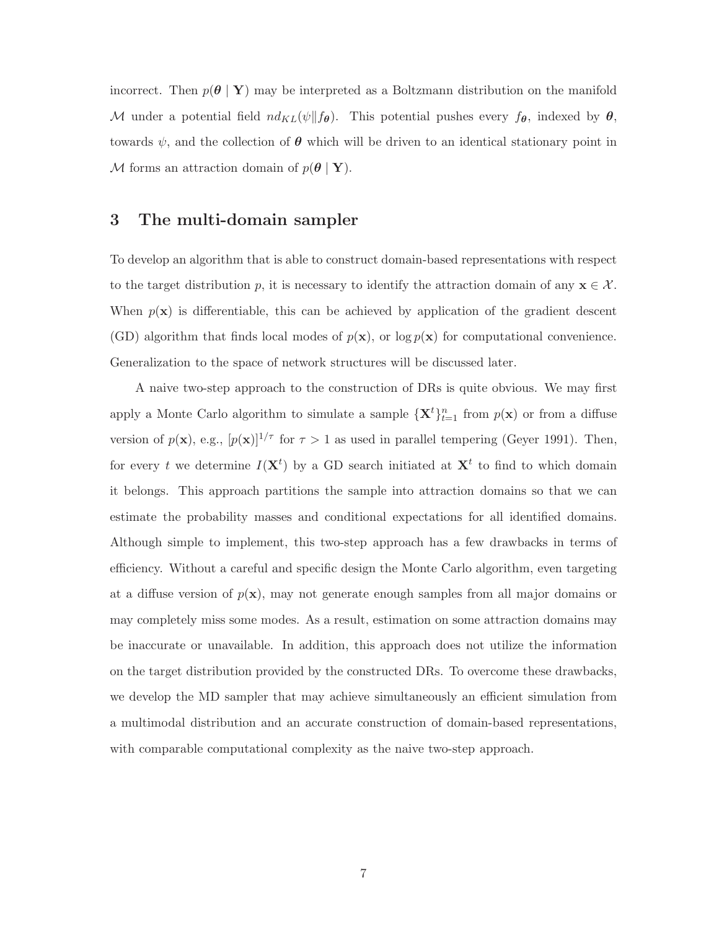incorrect. Then  $p(\theta | Y)$  may be interpreted as a Boltzmann distribution on the manifold M under a potential field  $nd_{KL}(\psi||f_{\theta})$ . This potential pushes every  $f_{\theta}$ , indexed by  $\theta$ , towards  $\psi$ , and the collection of  $\theta$  which will be driven to an identical stationary point in M forms an attraction domain of  $p(\theta | \mathbf{Y}).$ 

# 3 The multi-domain sampler

To develop an algorithm that is able to construct domain-based representations with respect to the target distribution p, it is necessary to identify the attraction domain of any  $\mathbf{x} \in \mathcal{X}$ . When  $p(x)$  is differentiable, this can be achieved by application of the gradient descent (GD) algorithm that finds local modes of  $p(x)$ , or log  $p(x)$  for computational convenience. Generalization to the space of network structures will be discussed later.

A naive two-step approach to the construction of DRs is quite obvious. We may first apply a Monte Carlo algorithm to simulate a sample  $\{X^t\}_{t=1}^n$  from  $p(x)$  or from a diffuse version of  $p(\mathbf{x})$ , e.g.,  $[p(\mathbf{x})]^{1/\tau}$  for  $\tau > 1$  as used in parallel tempering (Geyer 1991). Then, for every t we determine  $I(X<sup>t</sup>)$  by a GD search initiated at  $X<sup>t</sup>$  to find to which domain it belongs. This approach partitions the sample into attraction domains so that we can estimate the probability masses and conditional expectations for all identified domains. Although simple to implement, this two-step approach has a few drawbacks in terms of efficiency. Without a careful and specific design the Monte Carlo algorithm, even targeting at a diffuse version of  $p(x)$ , may not generate enough samples from all major domains or may completely miss some modes. As a result, estimation on some attraction domains may be inaccurate or unavailable. In addition, this approach does not utilize the information on the target distribution provided by the constructed DRs. To overcome these drawbacks, we develop the MD sampler that may achieve simultaneously an efficient simulation from a multimodal distribution and an accurate construction of domain-based representations, with comparable computational complexity as the naive two-step approach.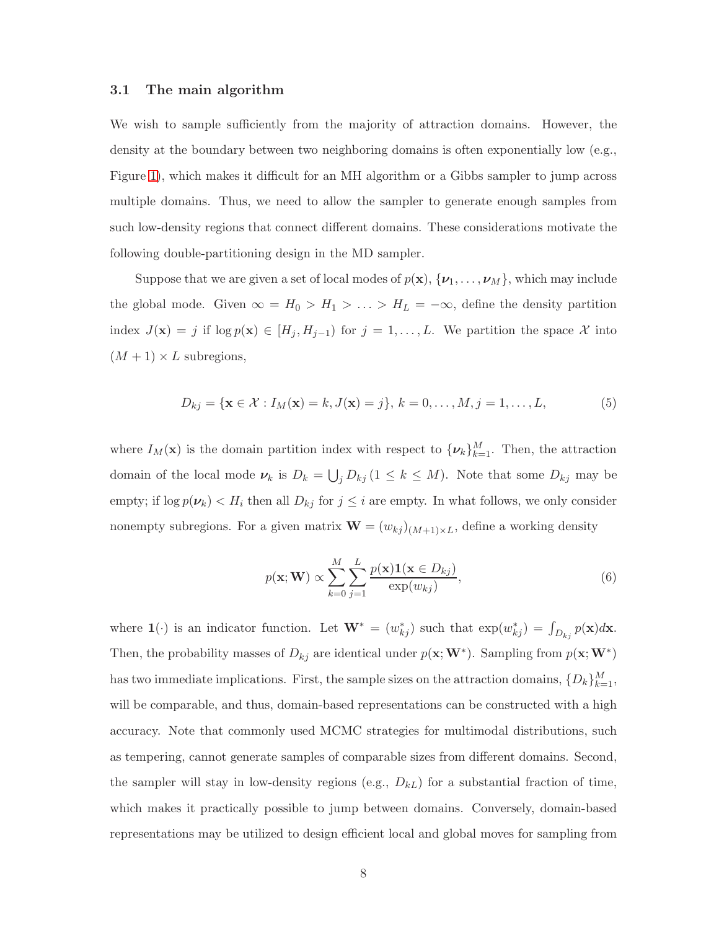#### 3.1 The main algorithm

We wish to sample sufficiently from the majority of attraction domains. However, the density at the boundary between two neighboring domains is often exponentially low (e.g., Figure 1), which makes it difficult for an MH algorithm or a Gibbs sampler to jump across multiple domains. Thus, we need to allow the sampler to generate enough samples from such low-density regions that connect different domains. These considerations motivate the following double-partitioning design in the MD sampler.

Suppose that we are given a set of local modes of  $p(\mathbf{x}), \{\boldsymbol{\nu}_1, \dots, \boldsymbol{\nu}_M\}$ , which may include the global mode. Given  $\infty = H_0 > H_1 > \ldots > H_L = -\infty$ , define the density partition index  $J(\mathbf{x}) = j$  if  $\log p(\mathbf{x}) \in [H_j, H_{j-1})$  for  $j = 1, ..., L$ . We partition the space X into  $(M + 1) \times L$  subregions,

$$
D_{kj} = \{ \mathbf{x} \in \mathcal{X} : I_M(\mathbf{x}) = k, J(\mathbf{x}) = j \}, k = 0, ..., M, j = 1, ..., L,
$$
 (5)

where  $I_M(\mathbf{x})$  is the domain partition index with respect to  $\{\boldsymbol{\nu}_k\}_{k=1}^M$ . Then, the attraction domain of the local mode  $\nu_k$  is  $D_k = \bigcup_j D_{kj} (1 \leq k \leq M)$ . Note that some  $D_{kj}$  may be empty; if  $\log p(\nu_k) < H_i$  then all  $D_{kj}$  for  $j \leq i$  are empty. In what follows, we only consider nonempty subregions. For a given matrix  $\mathbf{W} = (w_{kj})_{(M+1) \times L}$ , define a working density

$$
p(\mathbf{x}; \mathbf{W}) \propto \sum_{k=0}^{M} \sum_{j=1}^{L} \frac{p(\mathbf{x}) \mathbf{1}(\mathbf{x} \in D_{kj})}{\exp(w_{kj})},
$$
(6)

where  $\mathbf{1}(\cdot)$  is an indicator function. Let  $\mathbf{W}^* = (w_{kj}^*)$  such that  $\exp(w_{kj}^*) = \int_{D_{kj}} p(\mathbf{x}) d\mathbf{x}$ . Then, the probability masses of  $D_{kj}$  are identical under  $p(\mathbf{x}; \mathbf{W}^*)$ . Sampling from  $p(\mathbf{x}; \mathbf{W}^*)$ has two immediate implications. First, the sample sizes on the attraction domains,  $\{D_k\}_{k=1}^M$ , will be comparable, and thus, domain-based representations can be constructed with a high accuracy. Note that commonly used MCMC strategies for multimodal distributions, such as tempering, cannot generate samples of comparable sizes from different domains. Second, the sampler will stay in low-density regions (e.g.,  $D_{kL}$ ) for a substantial fraction of time, which makes it practically possible to jump between domains. Conversely, domain-based representations may be utilized to design efficient local and global moves for sampling from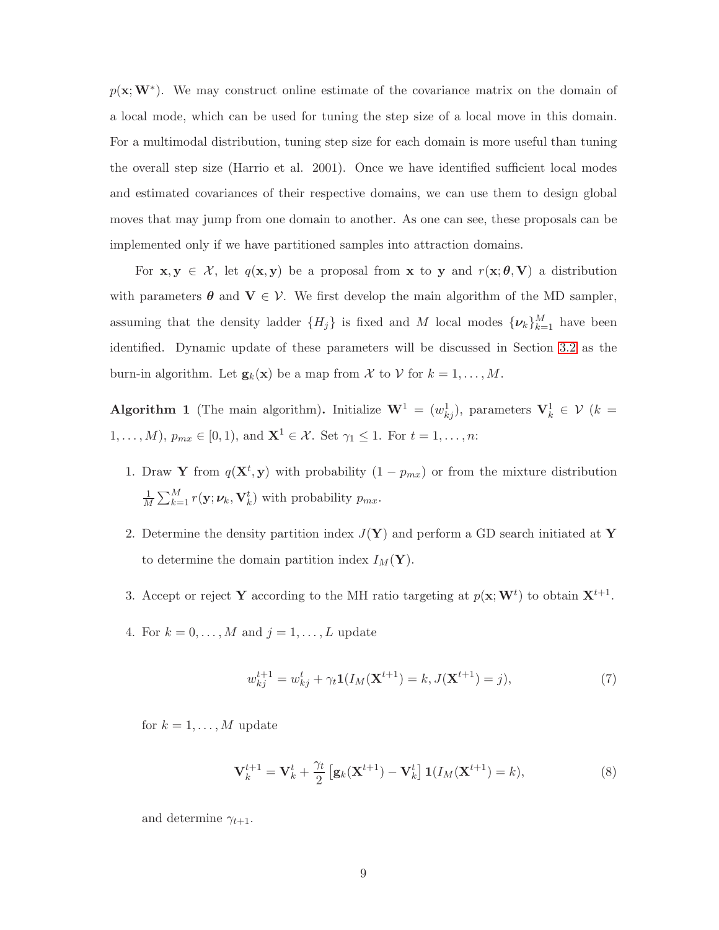$p(\mathbf{x}; \mathbf{W}^*)$ . We may construct online estimate of the covariance matrix on the domain of a local mode, which can be used for tuning the step size of a local move in this domain. For a multimodal distribution, tuning step size for each domain is more useful than tuning the overall step size (Harrio et al. 2001). Once we have identified sufficient local modes and estimated covariances of their respective domains, we can use them to design global moves that may jump from one domain to another. As one can see, these proposals can be implemented only if we have partitioned samples into attraction domains.

For  $x, y \in \mathcal{X}$ , let  $q(x, y)$  be a proposal from x to y and  $r(x; \theta, V)$  a distribution with parameters  $\theta$  and  $V \in V$ . We first develop the main algorithm of the MD sampler, assuming that the density ladder  $\{H_j\}$  is fixed and M local modes  $\{\boldsymbol{\nu}_k\}_{k=1}^M$  have been identified. Dynamic update of these parameters will be discussed in Section 3.2 as the burn-in algorithm. Let  $\mathbf{g}_k(\mathbf{x})$  be a map from X to V for  $k = 1, \ldots, M$ .

<span id="page-8-0"></span>Algorithm 1 (The main algorithm). Initialize  $\mathbf{W}^1 = (w_{kj}^1)$ , parameters  $\mathbf{V}_k^1 \in \mathcal{V}$  (k =  $1, \ldots, M$ ,  $p_{mx} \in [0, 1)$ , and  $\mathbf{X}^1 \in \mathcal{X}$ . Set  $\gamma_1 \leq 1$ . For  $t = 1, \ldots, n$ :

- 1. Draw Y from  $q(\mathbf{X}^t, \mathbf{y})$  with probability  $(1 p_{mx})$  or from the mixture distribution 1  $\frac{1}{M} \sum_{k=1}^{M} r(\mathbf{y}; \boldsymbol{\nu}_k, \mathbf{V}_k^t)$  with probability  $p_{mx}$ .
- 2. Determine the density partition index  $J(Y)$  and perform a GD search initiated at Y to determine the domain partition index  $I_M(\mathbf{Y})$ .
- 3. Accept or reject Y according to the MH ratio targeting at  $p(\mathbf{x}; \mathbf{W}^t)$  to obtain  $\mathbf{X}^{t+1}$ .
- 4. For  $k = 0, \ldots, M$  and  $j = 1, \ldots, L$  update

$$
w_{kj}^{t+1} = w_{kj}^t + \gamma_t \mathbf{1}(I_M(\mathbf{X}^{t+1}) = k, J(\mathbf{X}^{t+1}) = j),\tag{7}
$$

for  $k = 1, \ldots, M$  update

$$
\mathbf{V}_{k}^{t+1} = \mathbf{V}_{k}^{t} + \frac{\gamma_{t}}{2} \left[ \mathbf{g}_{k}(\mathbf{X}^{t+1}) - \mathbf{V}_{k}^{t} \right] \mathbf{1}(I_{M}(\mathbf{X}^{t+1}) = k), \tag{8}
$$

and determine  $\gamma_{t+1}$ .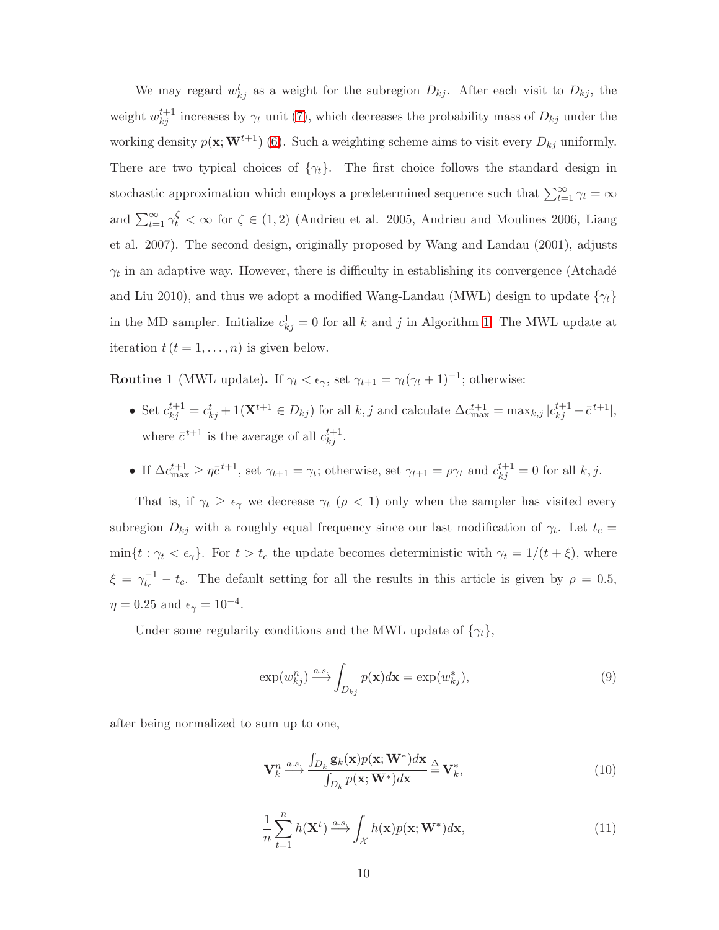We may regard  $w_{kj}^t$  as a weight for the subregion  $D_{kj}$ . After each visit to  $D_{kj}$ , the weight  $w_{kj}^{t+1}$  increases by  $\gamma_t$  unit (7), which decreases the probability mass of  $D_{kj}$  under the working density  $p(\mathbf{x}; \mathbf{W}^{t+1})$  (6). Such a weighting scheme aims to visit every  $D_{kj}$  uniformly. There are two typical choices of  $\{\gamma_t\}$ . The first choice follows the standard design in stochastic approximation which employs a predetermined sequence such that  $\sum_{t=1}^{\infty} \gamma_t = \infty$ and  $\sum_{t=1}^{\infty} \gamma_t^{\zeta} < \infty$  for  $\zeta \in (1,2)$  (Andrieu et al. 2005, Andrieu and Moulines 2006, Liang et al. 2007). The second design, originally proposed by Wang and Landau (2001), adjusts  $\gamma_t$  in an adaptive way. However, there is difficulty in establishing its convergence (Atchadé and Liu 2010), and thus we adopt a modified Wang-Landau (MWL) design to update  $\{\gamma_t\}$ in the MD sampler. Initialize  $c_{kj}^1 = 0$  for all k and j in Algorithm [1.](#page-8-0) The MWL update at iteration  $t(t = 1, \ldots, n)$  is given below.

**Routine 1** (MWL update). If  $\gamma_t < \epsilon_{\gamma}$ , set  $\gamma_{t+1} = \gamma_t(\gamma_t + 1)^{-1}$ ; otherwise:

- Set  $c_{kj}^{t+1} = c_{kj}^t + \mathbf{1}(\mathbf{X}^{t+1} \in D_{kj})$  for all  $k, j$  and calculate  $\Delta c_{\text{max}}^{t+1} = \max_{k,j} |c_{kj}^{t+1} \bar{c}^{t+1}|$ , where  $\bar{c}^{t+1}$  is the average of all  $c_{kj}^{t+1}$ .
- If  $\Delta c_{\text{max}}^{t+1} \ge \eta \bar{c}^{t+1}$ , set  $\gamma_{t+1} = \gamma_t$ ; otherwise, set  $\gamma_{t+1} = \rho \gamma_t$  and  $c_{kj}^{t+1} = 0$  for all  $k, j$ .

That is, if  $\gamma_t \geq \epsilon_\gamma$  we decrease  $\gamma_t$  ( $\rho < 1$ ) only when the sampler has visited every subregion  $D_{kj}$  with a roughly equal frequency since our last modification of  $\gamma_t$ . Let  $t_c =$  $\min\{t : \gamma_t < \epsilon_\gamma\}$ . For  $t > t_c$  the update becomes deterministic with  $\gamma_t = 1/(t + \xi)$ , where  $\xi = \gamma_{t_c}^{-1} - t_c$ . The default setting for all the results in this article is given by  $\rho = 0.5$ ,  $\eta = 0.25$  and  $\epsilon_{\gamma} = 10^{-4}$ .

Under some regularity conditions and the MWL update of  $\{\gamma_t\},\$ 

$$
\exp(w_{kj}^n) \xrightarrow{a.s.} \int_{D_{kj}} p(\mathbf{x}) d\mathbf{x} = \exp(w_{kj}^*),
$$
\n(9)

after being normalized to sum up to one,

$$
\mathbf{V}_k^n \xrightarrow{a.s.} \frac{\int_{D_k} \mathbf{g}_k(\mathbf{x}) p(\mathbf{x}; \mathbf{W}^*) d\mathbf{x}}{\int_{D_k} p(\mathbf{x}; \mathbf{W}^*) d\mathbf{x}} \stackrel{\Delta}{=} \mathbf{V}_k^*,
$$
\n(10)

$$
\frac{1}{n}\sum_{t=1}^{n}h(\mathbf{X}^{t})\stackrel{a.s.}{\longrightarrow}\int_{\mathcal{X}}h(\mathbf{x})p(\mathbf{x};\mathbf{W}^{*})d\mathbf{x},\tag{11}
$$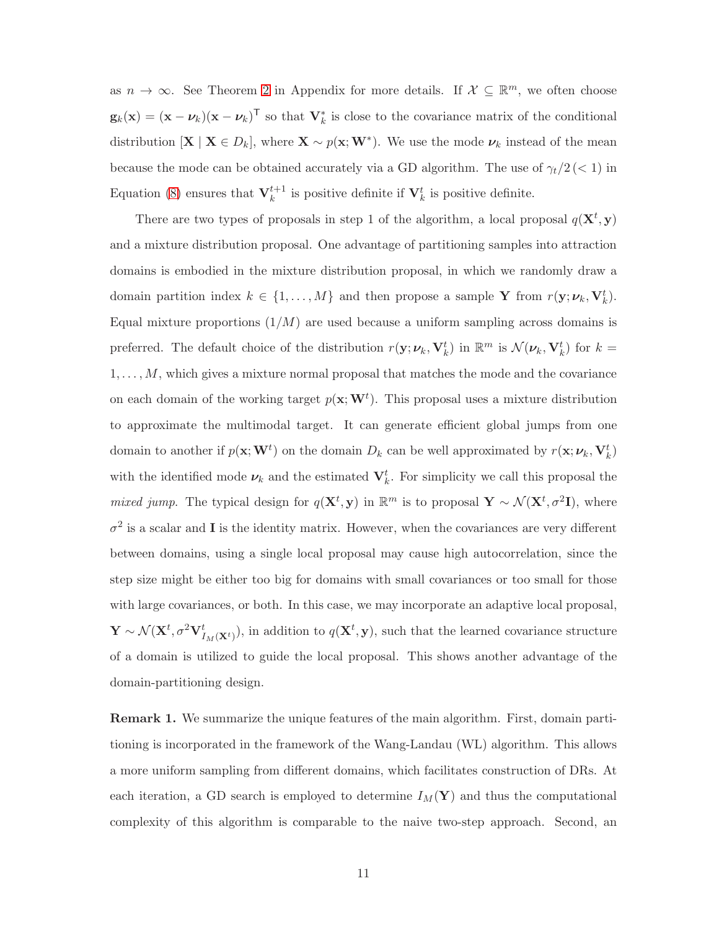as  $n \to \infty$ . See Theorem 2 in Appendix for more details. If  $\mathcal{X} \subseteq \mathbb{R}^m$ , we often choose  $\mathbf{g}_k(\mathbf{x}) = (\mathbf{x} - \boldsymbol{\nu}_k)(\mathbf{x} - \boldsymbol{\nu}_k)^{\mathsf{T}}$  so that  $\mathbf{V}_k^*$  is close to the covariance matrix of the conditional distribution  $[\mathbf{X} \mid \mathbf{X} \in D_k]$ , where  $\mathbf{X} \sim p(\mathbf{x}; \mathbf{W}^*)$ . We use the mode  $\nu_k$  instead of the mean because the mode can be obtained accurately via a GD algorithm. The use of  $\gamma_t/2 \ll 1$  in Equation (8) ensures that  $V_k^{t+1}$  is positive definite if  $V_k^t$  is positive definite.

There are two types of proposals in step 1 of the algorithm, a local proposal  $q(\mathbf{X}^t, \mathbf{y})$ and a mixture distribution proposal. One advantage of partitioning samples into attraction domains is embodied in the mixture distribution proposal, in which we randomly draw a domain partition index  $k \in \{1, ..., M\}$  and then propose a sample Y from  $r(\mathbf{y}; \boldsymbol{\nu}_k, \mathbf{V}_k^t)$ . Equal mixture proportions  $(1/M)$  are used because a uniform sampling across domains is preferred. The default choice of the distribution  $r(\mathbf{y}; \boldsymbol{\nu}_k, \mathbf{V}_k^t)$  in  $\mathbb{R}^m$  is  $\mathcal{N}(\boldsymbol{\nu}_k, \mathbf{V}_k^t)$  for  $k =$  $1, \ldots, M$ , which gives a mixture normal proposal that matches the mode and the covariance on each domain of the working target  $p(\mathbf{x}; \mathbf{W}^t)$ . This proposal uses a mixture distribution to approximate the multimodal target. It can generate efficient global jumps from one domain to another if  $p(\mathbf{x}; \mathbf{W}^t)$  on the domain  $D_k$  can be well approximated by  $r(\mathbf{x}; \nu_k, \mathbf{V}_k^t)$ with the identified mode  $\nu_k$  and the estimated  $\mathbf{V}_k^t$ . For simplicity we call this proposal the *mixed jump*. The typical design for  $q(\mathbf{X}^t, \mathbf{y})$  in  $\mathbb{R}^m$  is to proposal  $\mathbf{Y} \sim \mathcal{N}(\mathbf{X}^t, \sigma^2 \mathbf{I})$ , where  $\sigma^2$  is a scalar and **I** is the identity matrix. However, when the covariances are very different between domains, using a single local proposal may cause high autocorrelation, since the step size might be either too big for domains with small covariances or too small for those with large covariances, or both. In this case, we may incorporate an adaptive local proposal,  $\mathbf{Y} \sim \mathcal{N}(\mathbf{X}^t, \sigma^2 \mathbf{V}^t_{I_M(\mathbf{X}^t)})$ , in addition to  $q(\mathbf{X}^t, \mathbf{y})$ , such that the learned covariance structure of a domain is utilized to guide the local proposal. This shows another advantage of the domain-partitioning design.

**Remark 1.** We summarize the unique features of the main algorithm. First, domain partitioning is incorporated in the framework of the Wang-Landau (WL) algorithm. This allows a more uniform sampling from different domains, which facilitates construction of DRs. At each iteration, a GD search is employed to determine  $I_M(Y)$  and thus the computational complexity of this algorithm is comparable to the naive two-step approach. Second, an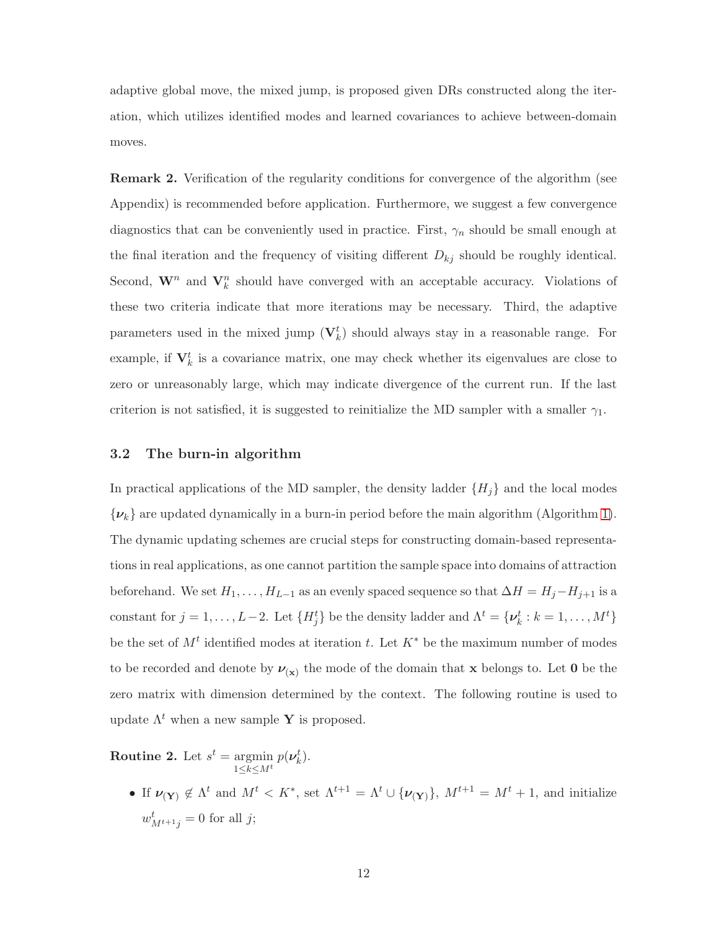adaptive global move, the mixed jump, is proposed given DRs constructed along the iteration, which utilizes identified modes and learned covariances to achieve between-domain moves.

Remark 2. Verification of the regularity conditions for convergence of the algorithm (see Appendix) is recommended before application. Furthermore, we suggest a few convergence diagnostics that can be conveniently used in practice. First,  $\gamma_n$  should be small enough at the final iteration and the frequency of visiting different  $D_{kj}$  should be roughly identical. Second,  $\mathbf{W}^n$  and  $\mathbf{V}_k^n$  should have converged with an acceptable accuracy. Violations of these two criteria indicate that more iterations may be necessary. Third, the adaptive parameters used in the mixed jump  $(\mathbf{V}_k^t)$  should always stay in a reasonable range. For example, if  $V_k^t$  is a covariance matrix, one may check whether its eigenvalues are close to zero or unreasonably large, which may indicate divergence of the current run. If the last criterion is not satisfied, it is suggested to reinitialize the MD sampler with a smaller  $\gamma_1$ .

## 3.2 The burn-in algorithm

In practical applications of the MD sampler, the density ladder  ${H<sub>i</sub>}$  and the local modes  $\{\nu_k\}$  are updated dynamically in a burn-in period before the main algorithm (Algorithm [1\)](#page-8-0). The dynamic updating schemes are crucial steps for constructing domain-based representations in real applications, as one cannot partition the sample space into domains of attraction beforehand. We set  $H_1, \ldots, H_{L-1}$  as an evenly spaced sequence so that  $\Delta H = H_j - H_{j+1}$  is a constant for  $j = 1, ..., L-2$ . Let  $\{H_j^t\}$  be the density ladder and  $\Lambda^t = {\nu_k^t : k = 1, ..., M^t\}$ be the set of  $M<sup>t</sup>$  identified modes at iteration t. Let  $K^*$  be the maximum number of modes to be recorded and denote by  $\nu_{(x)}$  the mode of the domain that x belongs to. Let 0 be the zero matrix with dimension determined by the context. The following routine is used to update  $\Lambda^t$  when a new sample Y is proposed.

**Routine 2.** Let  $s^t = \text{argmin}$  $1\leq k \leq M^t$  $p(\boldsymbol{\nu}_k^t)$ .

> • If  $\nu(\mathbf{Y}) \notin \Lambda^t$  and  $M^t < K^*$ , set  $\Lambda^{t+1} = \Lambda^t \cup {\{\nu(\mathbf{Y})\}}, M^{t+1} = M^t + 1$ , and initialize  $w_{M^{t+1}j}^t = 0$  for all j;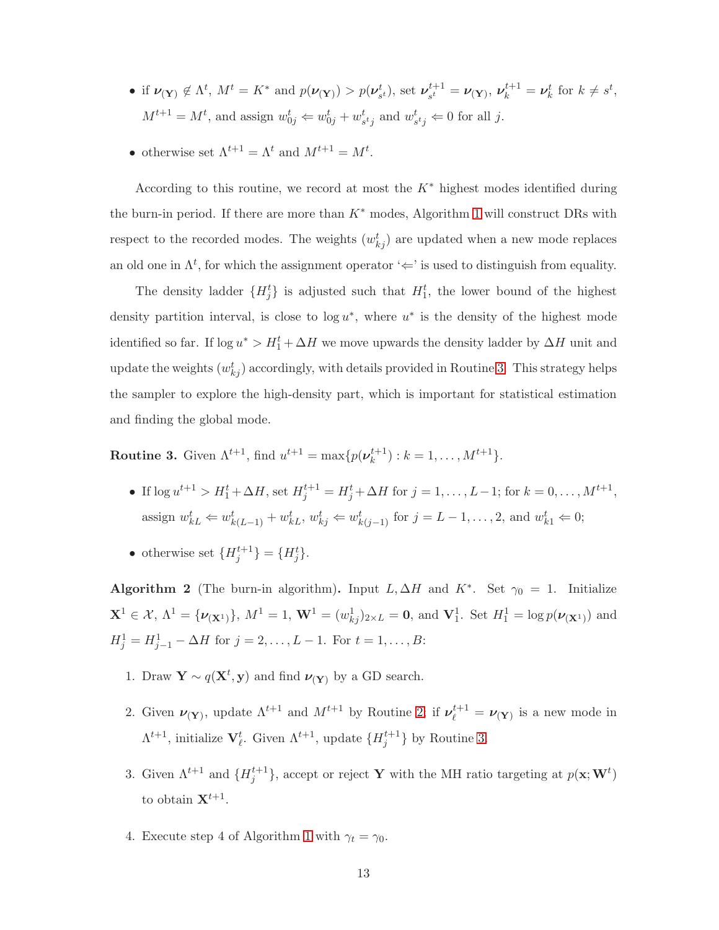- if  $\nu(\mathbf{Y}) \notin \Lambda^t$ ,  $M^t = K^*$  and  $p(\nu(\mathbf{Y})) > p(\nu_{s^t}^t)$ , set  $\nu_{s^t}^{t+1}$  $s_t^{t+1} = \nu_{(\mathbf{Y})}, \, \nu_k^{t+1} = \nu_k^t \text{ for } k \neq s^t,$  $M^{t+1} = M^t$ , and assign  $w_{0j}^t \Leftarrow w_{0j}^t + w_{stj}^t$  and  $w_{stj}^t \Leftarrow 0$  for all j.
- otherwise set  $\Lambda^{t+1} = \Lambda^t$  and  $M^{t+1} = M^t$ .

According to this routine, we record at most the  $K^*$  highest modes identified during the burn-in period. If there are more than  $K^*$  modes, Algorithm [1](#page-8-0) will construct DRs with respect to the recorded modes. The weights  $(w_{kj}^t)$  are updated when a new mode replaces an old one in  $\Lambda^t$ , for which the assignment operator ' $\Leftarrow$ ' is used to distinguish from equality.

The density ladder  $\{H_j^t\}$  is adjusted such that  $H_1^t$ , the lower bound of the highest density partition interval, is close to  $log u^*$ , where  $u^*$  is the density of the highest mode identified so far. If  $\log u^* > H_1^t + \Delta H$  we move upwards the density ladder by  $\Delta H$  unit and update the weights  $(w_{kj}^t)$  accordingly, with details provided in Routine 3. This strategy helps the sampler to explore the high-density part, which is important for statistical estimation and finding the global mode.

**Routine 3.** Given  $\Lambda^{t+1}$ , find  $u^{t+1} = \max\{p(\nu_k^{t+1})\}$  ${k+1 \choose k}$ :  $k = 1, ..., M^{t+1}$ .

- If  $\log u^{t+1} > H_1^t + \Delta H$ , set  $H_j^{t+1} = H_j^t + \Delta H$  for  $j = 1, ..., L-1$ ; for  $k = 0, ..., M^{t+1}$ , assign  $w_{kL}^t \Leftarrow w_{k(L-1)}^t + w_{kL}^t, w_{kj}^t \Leftarrow w_{k(j-1)}^t$  for  $j = L - 1, ..., 2$ , and  $w_{k1}^t \Leftarrow 0$ ;
- otherwise set  ${H_j^{t+1}} = {H_j^t}.$

Algorithm 2 (The burn-in algorithm). Input L,  $\Delta H$  and K<sup>\*</sup>. Set  $\gamma_0 = 1$ . Initialize  $\mathbf{X}^1 \in \mathcal{X}, \, \Lambda^1 = {\nu_{(\mathbf{X}^1)}}$ ,  $M^1 = 1, \, \mathbf{W}^1 = (w_{kj}^1)_{2 \times L} = \mathbf{0}$ , and  $\mathbf{V}_1^1$ . Set  $H_1^1 = \log p(\nu_{(\mathbf{X}^1)})$  and  $H_j^1 = H_{j-1}^1 - \Delta H$  for  $j = 2, ..., L - 1$ . For  $t = 1, ..., B$ :

- 1. Draw  $\mathbf{Y} \sim q(\mathbf{X}^t, \mathbf{y})$  and find  $\nu_{(\mathbf{Y})}$  by a GD search.
- 2. Given  $\nu(\mathbf{Y})$ , update  $\Lambda^{t+1}$  and  $M^{t+1}$  by Routine 2; if  $\nu_{\ell}^{t+1} = \nu(\mathbf{Y})$  is a new mode in  $\Lambda^{t+1}$ , initialize  $\mathbf{V}_{\ell}^{t}$ . Given  $\Lambda^{t+1}$ , update  $\{H_j^{t+1}\}$  by Routine 3.
- 3. Given  $\Lambda^{t+1}$  and  $\{H_j^{t+1}\}$ , accept or reject Y with the MH ratio targeting at  $p(\mathbf{x}; \mathbf{W}^t)$ to obtain  $X^{t+1}$ .
- 4. Execute step 4 of Algorithm [1](#page-8-0) with  $\gamma_t = \gamma_0$ .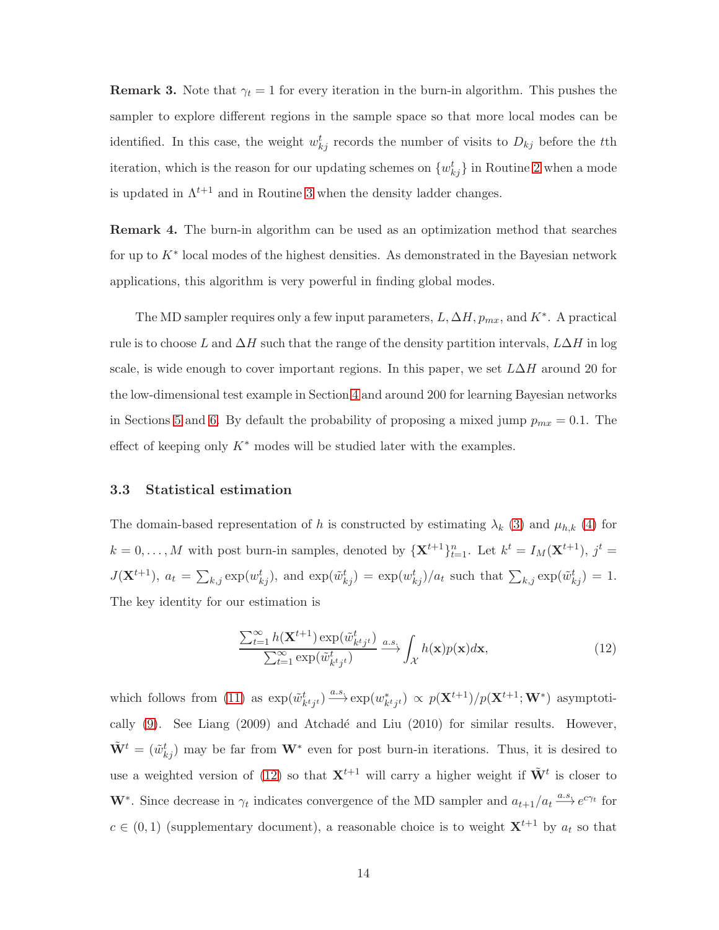**Remark 3.** Note that  $\gamma_t = 1$  for every iteration in the burn-in algorithm. This pushes the sampler to explore different regions in the sample space so that more local modes can be identified. In this case, the weight  $w_{kj}^t$  records the number of visits to  $D_{kj}$  before the tth iteration, which is the reason for our updating schemes on  $\{w_{kj}^t\}$  in Routine 2 when a mode is updated in  $\Lambda^{t+1}$  and in Routine 3 when the density ladder changes.

Remark 4. The burn-in algorithm can be used as an optimization method that searches for up to K<sup>∗</sup> local modes of the highest densities. As demonstrated in the Bayesian network applications, this algorithm is very powerful in finding global modes.

The MD sampler requires only a few input parameters,  $L, \Delta H, p_{mx}$ , and  $K^*$ . A practical rule is to choose L and  $\Delta H$  such that the range of the density partition intervals,  $L\Delta H$  in log scale, is wide enough to cover important regions. In this paper, we set  $L\Delta H$  around 20 for the low-dimensional test example in Section 4 and around 200 for learning Bayesian networks in Sections 5 and 6. By default the probability of proposing a mixed jump  $p_{mx} = 0.1$ . The effect of keeping only  $K^*$  modes will be studied later with the examples.

## 3.3 Statistical estimation

The domain-based representation of h is constructed by estimating  $\lambda_k$  (3) and  $\mu_{h,k}$  (4) for  $k = 0, \ldots, M$  with post burn-in samples, denoted by  $\{X^{t+1}\}_{t=1}^n$ . Let  $k^t = I_M(X^{t+1}), j^t =$  $J(\mathbf{X}^{t+1}), a_t = \sum_{k,j} \exp(w_{kj}^t)$ , and  $\exp(\tilde{w}_{kj}^t) = \exp(w_{kj}^t)/a_t$  such that  $\sum_{k,j} \exp(\tilde{w}_{kj}^t) = 1$ . The key identity for our estimation is

$$
\frac{\sum_{t=1}^{\infty} h(\mathbf{X}^{t+1}) \exp(\tilde{w}_{k^t j^t}^t)}{\sum_{t=1}^{\infty} \exp(\tilde{w}_{k^t j^t}^t)} \xrightarrow{a.s.} \int_{\mathcal{X}} h(\mathbf{x}) p(\mathbf{x}) d\mathbf{x},\tag{12}
$$

which follows from (11) as  $\exp(\tilde{w}_{k^t j^t}^t) \stackrel{a.s.}{\longrightarrow} \exp(w_{k^t j^t}^*) \propto p(\mathbf{X}^{t+1})/p(\mathbf{X}^{t+1};\mathbf{W}^*)$  asymptotically  $(9)$ . See Liang  $(2009)$  and Atchadé and Liu  $(2010)$  for similar results. However,  $\tilde{\mathbf{W}}^t = (\tilde{w}_{kj}^t)$  may be far from  $\mathbf{W}^*$  even for post burn-in iterations. Thus, it is desired to use a weighted version of (12) so that  $X^{t+1}$  will carry a higher weight if  $\tilde{W}^t$  is closer to **W**<sup>\*</sup>. Since decrease in  $\gamma_t$  indicates convergence of the MD sampler and  $a_{t+1}/a_t \stackrel{a.s.}{\longrightarrow} e^{c\gamma_t}$  for  $c \in (0,1)$  (supplementary document), a reasonable choice is to weight  $\mathbf{X}^{t+1}$  by  $a_t$  so that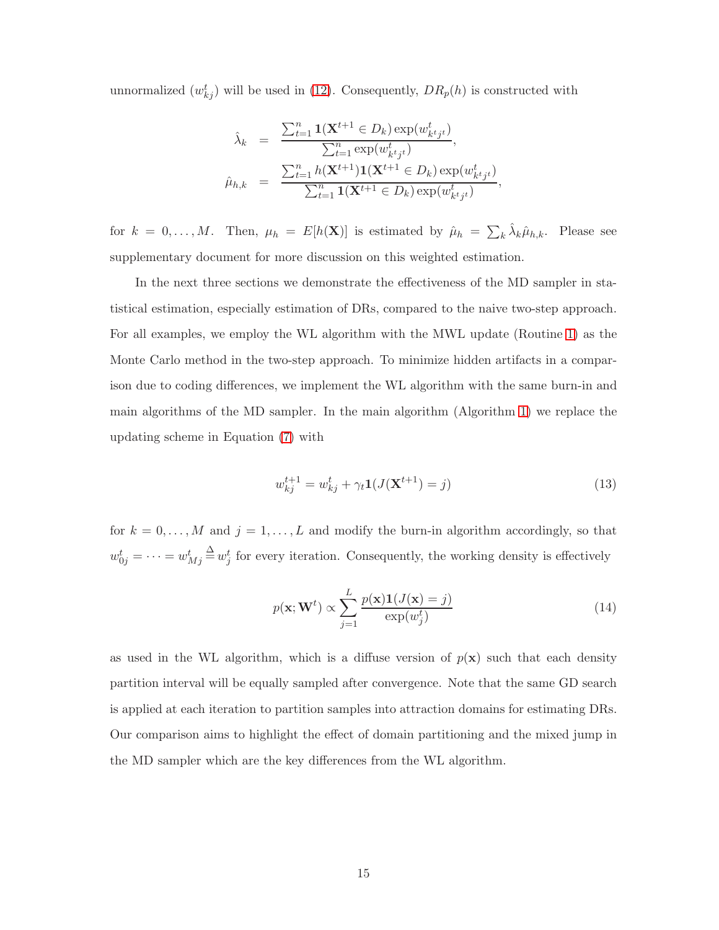unnormalized  $(w_{kj}^t)$  will be used in (12). Consequently,  $DR_p(h)$  is constructed with

$$
\hat{\lambda}_k = \frac{\sum_{t=1}^n \mathbf{1}(\mathbf{X}^{t+1} \in D_k) \exp(w_{k}^t) - \sum_{t=1}^n \exp(w_{k}^t) - \sum_{t=1}^n h(\mathbf{X}^{t+1}) \mathbf{1}(\mathbf{X}^{t+1} \in D_k) \exp(w_{k}^t) - \sum_{t=1}^n h(\mathbf{X}^{t+1}) \mathbf{1}(\mathbf{X}^{t+1} \in D_k) \exp(w_{k}^t) - \sum_{t=1}^n \mathbf{1}(\mathbf{X}^{t+1} \in D_k) \exp(w_{k}^t) - \sum_{t=1}^n \exp(w_{k}^t) - \sum_{t=1}^n \exp(w_{k}^t) - \sum_{t=1}^n \exp(w_{k}^t) - \sum_{t=1}^n \exp(w_{k}^t) - \sum_{t=1}^n \exp(w_{k}^t) - \sum_{t=1}^n \exp(w_{k}^t) - \sum_{t=1}^n \exp(w_{k}^t) - \sum_{t=1}^n \exp(w_{k}^t) - \sum_{t=1}^n \exp(w_{k}^t) - \sum_{t=1}^n \exp(w_{k}^t) - \sum_{t=1}^n \exp(w_{k}^t) - \sum_{t=1}^n \exp(w_{k}^t) - \sum_{t=1}^n \exp(w_{k}^t) - \sum_{t=1}^n \exp(w_{k}^t) - \sum_{t=1}^n \exp(w_{k}^t) - \sum_{t=1}^n \exp(w_{k}^t) - \sum_{t=1}^n \exp(w_{k}^t) - \sum_{t=1}^n \exp(w_{k}^t) - \sum_{t=1}^n \exp(w_{k}^t) - \sum_{t=1}^n \exp(w_{k}^t) - \sum_{t=1}^n \exp(w_{k}^t) - \sum_{t=1}^n \exp(w_{k}^t) - \sum_{t=1}^n \exp(w_{k}^t) - \sum_{t=1}^n \exp(w_{k}^t) - \sum_{t=1}^n \exp(w_{k}^t) - \sum_{t=1}^n \exp(w_{k}^t) - \sum_{t=1}^n \exp(w_{k}^t) - \sum_{t=1}^n \exp(w_{k}^t) - \sum_{t=1}^n \exp(w
$$

for  $k = 0, ..., M$ . Then,  $\mu_h = E[h(\mathbf{X})]$  is estimated by  $\hat{\mu}_h = \sum_k \hat{\lambda}_k \hat{\mu}_{h,k}$ . Please see supplementary document for more discussion on this weighted estimation.

In the next three sections we demonstrate the effectiveness of the MD sampler in statistical estimation, especially estimation of DRs, compared to the naive two-step approach. For all examples, we employ the WL algorithm with the MWL update (Routine 1) as the Monte Carlo method in the two-step approach. To minimize hidden artifacts in a comparison due to coding differences, we implement the WL algorithm with the same burn-in and main algorithms of the MD sampler. In the main algorithm (Algorithm [1\)](#page-8-0) we replace the updating scheme in Equation (7) with

$$
w_{kj}^{t+1} = w_{kj}^t + \gamma_t \mathbf{1}(J(\mathbf{X}^{t+1}) = j)
$$
\n(13)

for  $k = 0, \ldots, M$  and  $j = 1, \ldots, L$  and modify the burn-in algorithm accordingly, so that  $w_{0j}^t = \cdots = w_{Mj}^t \stackrel{\Delta}{=} w_j^t$  for every iteration. Consequently, the working density is effectively

$$
p(\mathbf{x}; \mathbf{W}^t) \propto \sum_{j=1}^{L} \frac{p(\mathbf{x}) \mathbf{1}(J(\mathbf{x}) = j)}{\exp(w_j^t)}
$$
(14)

as used in the WL algorithm, which is a diffuse version of  $p(x)$  such that each density partition interval will be equally sampled after convergence. Note that the same GD search is applied at each iteration to partition samples into attraction domains for estimating DRs. Our comparison aims to highlight the effect of domain partitioning and the mixed jump in the MD sampler which are the key differences from the WL algorithm.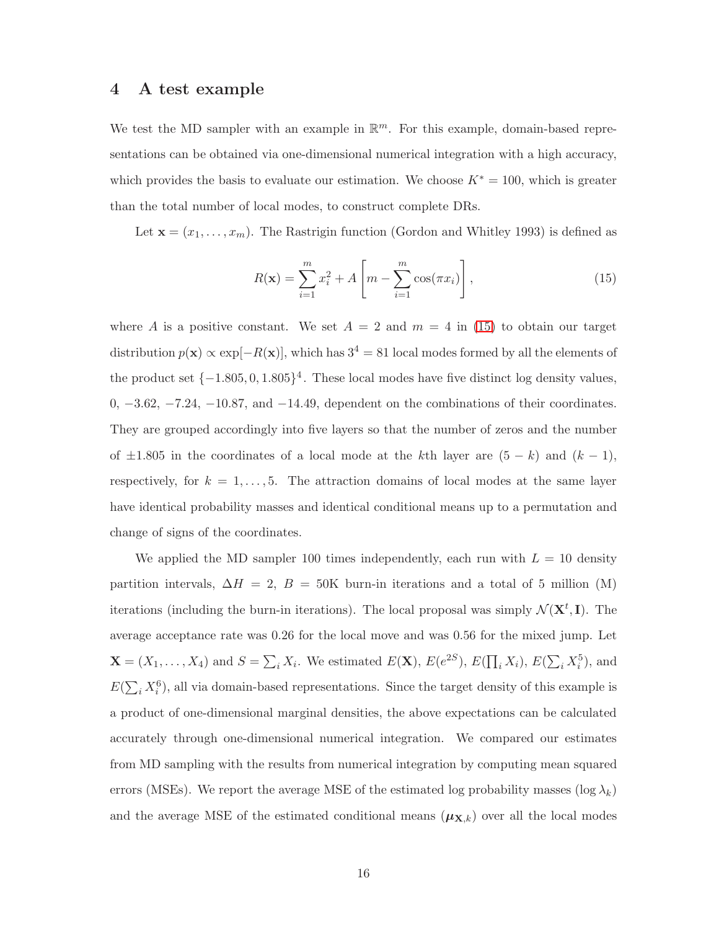## 4 A test example

We test the MD sampler with an example in  $\mathbb{R}^m$ . For this example, domain-based representations can be obtained via one-dimensional numerical integration with a high accuracy, which provides the basis to evaluate our estimation. We choose  $K^* = 100$ , which is greater than the total number of local modes, to construct complete DRs.

Let  $\mathbf{x} = (x_1, \ldots, x_m)$ . The Rastrigin function (Gordon and Whitley 1993) is defined as

$$
R(\mathbf{x}) = \sum_{i=1}^{m} x_i^2 + A \left[ m - \sum_{i=1}^{m} \cos(\pi x_i) \right],
$$
 (15)

where A is a positive constant. We set  $A = 2$  and  $m = 4$  in (15) to obtain our target distribution  $p(\mathbf{x}) \propto \exp[-R(\mathbf{x})]$ , which has  $3^4 = 81$  local modes formed by all the elements of the product set  $\{-1.805, 0, 1.805\}^4$ . These local modes have five distinct log density values,  $0, -3.62, -7.24, -10.87,$  and  $-14.49$ , dependent on the combinations of their coordinates. They are grouped accordingly into five layers so that the number of zeros and the number of  $\pm 1.805$  in the coordinates of a local mode at the kth layer are  $(5 - k)$  and  $(k - 1)$ , respectively, for  $k = 1, \ldots, 5$ . The attraction domains of local modes at the same layer have identical probability masses and identical conditional means up to a permutation and change of signs of the coordinates.

We applied the MD sampler 100 times independently, each run with  $L = 10$  density partition intervals,  $\Delta H = 2$ ,  $B = 50$ K burn-in iterations and a total of 5 million (M) iterations (including the burn-in iterations). The local proposal was simply  $\mathcal{N}(\mathbf{X}^t, \mathbf{I})$ . The average acceptance rate was 0.26 for the local move and was 0.56 for the mixed jump. Let  $\mathbf{X} = (X_1, \ldots, X_4)$  and  $S = \sum_i X_i$ . We estimated  $E(\mathbf{X})$ ,  $E(e^{2S})$ ,  $E(\prod_i X_i)$ ,  $E(\sum_i X_i^5)$ , and  $E(\sum_i X_i^6)$ , all via domain-based representations. Since the target density of this example is a product of one-dimensional marginal densities, the above expectations can be calculated accurately through one-dimensional numerical integration. We compared our estimates from MD sampling with the results from numerical integration by computing mean squared errors (MSEs). We report the average MSE of the estimated log probability masses (log  $\lambda_k$ ) and the average MSE of the estimated conditional means  $(\mu_{\mathbf{X},k})$  over all the local modes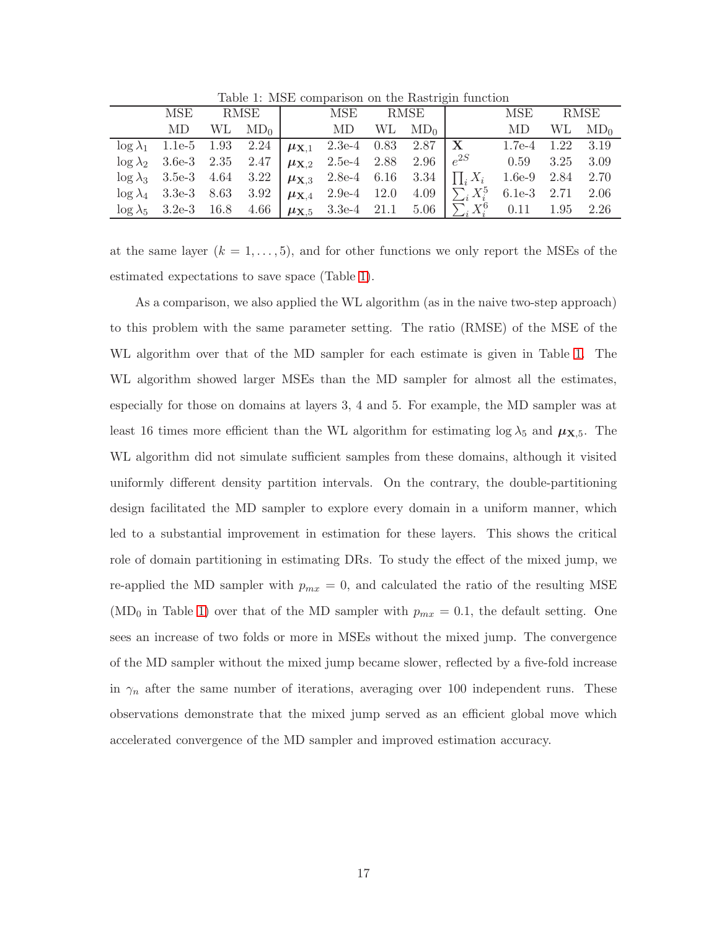|     |  |                                                                                       |  | MSE RMSE   MSE RMSE                                                                                   | MSE RMSE               |                 |
|-----|--|---------------------------------------------------------------------------------------|--|-------------------------------------------------------------------------------------------------------|------------------------|-----------------|
| MD. |  | $\rm WL \quad \rm MD_0 \parallel \qquad \rm MD \quad \rm WL \quad \rm MD_0 \parallel$ |  |                                                                                                       | MD.                    | $WL \quad MD_0$ |
|     |  | $\log \lambda_1$ 1.1e-5 1.93 2.24 $\mu_{X,1}$ 2.3e-4 0.83 2.87   X                    |  |                                                                                                       | $1.7e-4$ $1.22$ $3.19$ |                 |
|     |  | $\log \lambda_2$ 3.6e-3 2.35 2.47 $\mu_{\mathbf{X},2}$ 2.5e-4 2.88 2.96 $e^{2S}$      |  |                                                                                                       | $0.59$ $3.25$ $3.09$   |                 |
|     |  | $\log \lambda_3$ 3.5e-3 4.64 3.22 $\mu_{\mathbf{X},3}$ 2.8e-4 6.16 3.34 $\prod_i X_i$ |  |                                                                                                       | $1.6e-9$ $2.84$ $2.70$ |                 |
|     |  |                                                                                       |  | $\log \lambda_4$ 3.3e-3 8.63 3.92 $\mu_{\mathbf{X},4}$ 2.9e-4 12.0 4.09 $\sum_i X_i^5$                | $6.1e-3$ $2.71$ $2.06$ |                 |
|     |  |                                                                                       |  | $\log \lambda_5$ 3.2e-3 16.8 4.66 $\mu_{\mathbf{X},5}$ 3.3e-4 21.1 5.06 $\sum_i X_i^6$ 0.11 1.95 2.26 |                        |                 |

Table 1: MSE comparison on the Rastrigin function

at the same layer  $(k = 1, \ldots, 5)$ , and for other functions we only report the MSEs of the estimated expectations to save space (Table 1).

As a comparison, we also applied the WL algorithm (as in the naive two-step approach) to this problem with the same parameter setting. The ratio (RMSE) of the MSE of the WL algorithm over that of the MD sampler for each estimate is given in Table 1. The WL algorithm showed larger MSEs than the MD sampler for almost all the estimates, especially for those on domains at layers 3, 4 and 5. For example, the MD sampler was at least 16 times more efficient than the WL algorithm for estimating  $\log \lambda_5$  and  $\mu_{\mathbf{X},5}$ . The WL algorithm did not simulate sufficient samples from these domains, although it visited uniformly different density partition intervals. On the contrary, the double-partitioning design facilitated the MD sampler to explore every domain in a uniform manner, which led to a substantial improvement in estimation for these layers. This shows the critical role of domain partitioning in estimating DRs. To study the effect of the mixed jump, we re-applied the MD sampler with  $p_{mx} = 0$ , and calculated the ratio of the resulting MSE (MD<sub>0</sub> in Table 1) over that of the MD sampler with  $p_{mx} = 0.1$ , the default setting. One sees an increase of two folds or more in MSEs without the mixed jump. The convergence of the MD sampler without the mixed jump became slower, reflected by a five-fold increase in  $\gamma_n$  after the same number of iterations, averaging over 100 independent runs. These observations demonstrate that the mixed jump served as an efficient global move which accelerated convergence of the MD sampler and improved estimation accuracy.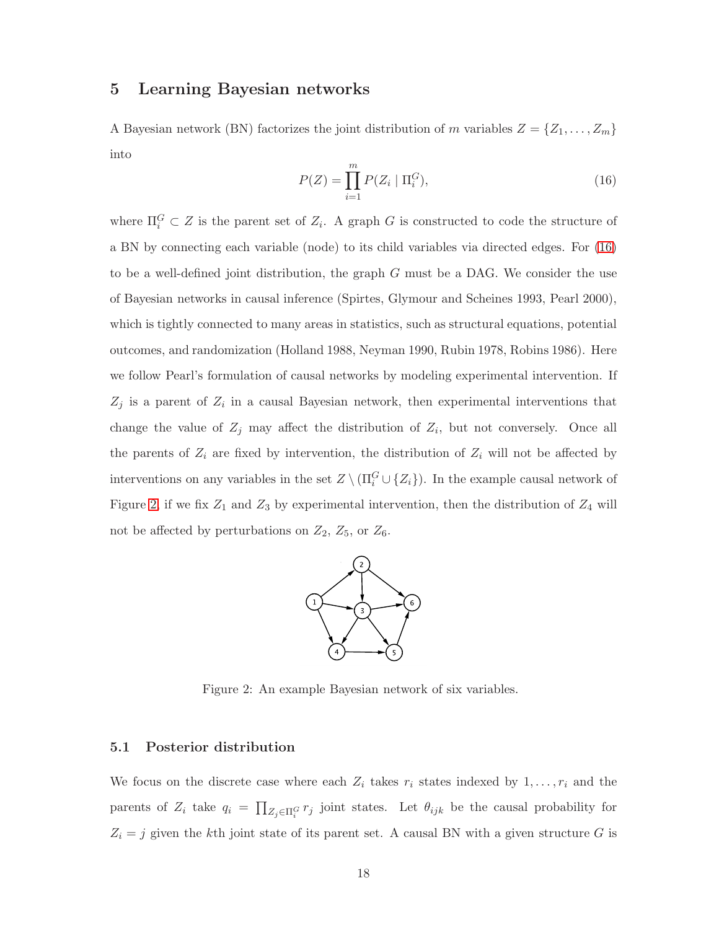# 5 Learning Bayesian networks

A Bayesian network (BN) factorizes the joint distribution of m variables  $Z = \{Z_1, \ldots, Z_m\}$ into

$$
P(Z) = \prod_{i=1}^{m} P(Z_i \mid \Pi_i^G),
$$
\n(16)

where  $\Pi_i^G \subset Z$  is the parent set of  $Z_i$ . A graph G is constructed to code the structure of a BN by connecting each variable (node) to its child variables via directed edges. For (16) to be a well-defined joint distribution, the graph  $G$  must be a DAG. We consider the use of Bayesian networks in causal inference (Spirtes, Glymour and Scheines 1993, Pearl 2000), which is tightly connected to many areas in statistics, such as structural equations, potential outcomes, and randomization (Holland 1988, Neyman 1990, Rubin 1978, Robins 1986). Here we follow Pearl's formulation of causal networks by modeling experimental intervention. If  $Z_j$  is a parent of  $Z_i$  in a causal Bayesian network, then experimental interventions that change the value of  $Z_j$  may affect the distribution of  $Z_i$ , but not conversely. Once all the parents of  $Z_i$  are fixed by intervention, the distribution of  $Z_i$  will not be affected by interventions on any variables in the set  $Z \setminus (\Pi_i^G \cup \{Z_i\})$ . In the example causal network of Figure 2, if we fix  $Z_1$  and  $Z_3$  by experimental intervention, then the distribution of  $Z_4$  will not be affected by perturbations on  $Z_2$ ,  $Z_5$ , or  $Z_6$ .



Figure 2: An example Bayesian network of six variables.

## 5.1 Posterior distribution

We focus on the discrete case where each  $Z_i$  takes  $r_i$  states indexed by  $1, \ldots, r_i$  and the parents of  $Z_i$  take  $q_i = \prod_{Z_j \in \Pi_i^G} r_j$  joint states. Let  $\theta_{ijk}$  be the causal probability for  $Z_i = j$  given the kth joint state of its parent set. A causal BN with a given structure G is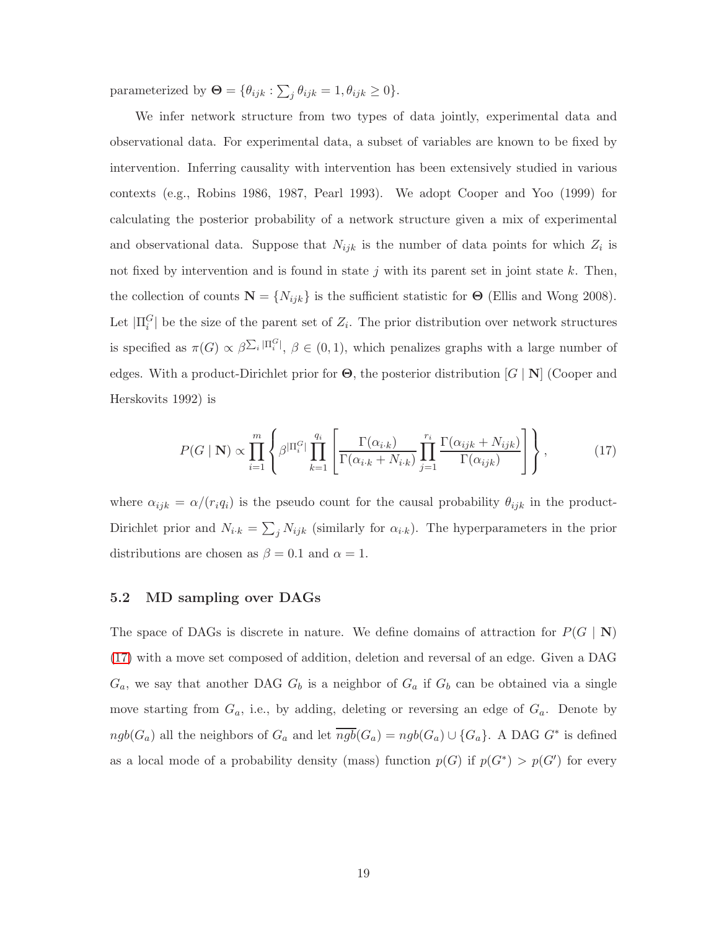parameterized by  $\mathbf{\Theta} = {\theta_{ijk} : \sum_j \theta_{ijk} = 1, \theta_{ijk} \geq 0}.$ 

We infer network structure from two types of data jointly, experimental data and observational data. For experimental data, a subset of variables are known to be fixed by intervention. Inferring causality with intervention has been extensively studied in various contexts (e.g., Robins 1986, 1987, Pearl 1993). We adopt Cooper and Yoo (1999) for calculating the posterior probability of a network structure given a mix of experimental and observational data. Suppose that  $N_{ijk}$  is the number of data points for which  $Z_i$  is not fixed by intervention and is found in state  $j$  with its parent set in joint state  $k$ . Then, the collection of counts  $\mathbf{N} = \{N_{ijk}\}\$ is the sufficient statistic for  $\Theta$  (Ellis and Wong 2008). Let  $|\Pi_i^G|$  be the size of the parent set of  $Z_i$ . The prior distribution over network structures is specified as  $\pi(G) \propto \beta \sum_i |\Pi_i^G|$ ,  $\beta \in (0,1)$ , which penalizes graphs with a large number of edges. With a product-Dirichlet prior for  $\Theta$ , the posterior distribution  $[G | N]$  (Cooper and Herskovits 1992) is

$$
P(G \mid \mathbf{N}) \propto \prod_{i=1}^{m} \left\{ \beta^{\left|\Pi_{i}^{G}\right|} \prod_{k=1}^{q_{i}} \left[ \frac{\Gamma(\alpha_{i,k})}{\Gamma(\alpha_{i,k} + N_{i,k})} \prod_{j=1}^{r_{i}} \frac{\Gamma(\alpha_{ijk} + N_{ijk})}{\Gamma(\alpha_{ijk})} \right] \right\},
$$
(17)

where  $\alpha_{ijk} = \alpha/(r_i q_i)$  is the pseudo count for the causal probability  $\theta_{ijk}$  in the product-Dirichlet prior and  $N_{i,k} = \sum_j N_{ijk}$  (similarly for  $\alpha_{i,k}$ ). The hyperparameters in the prior distributions are chosen as  $\beta = 0.1$  and  $\alpha = 1$ .

## 5.2 MD sampling over DAGs

The space of DAGs is discrete in nature. We define domains of attraction for  $P(G | N)$ (17) with a move set composed of addition, deletion and reversal of an edge. Given a DAG  $G_a$ , we say that another DAG  $G_b$  is a neighbor of  $G_a$  if  $G_b$  can be obtained via a single move starting from  $G_a$ , i.e., by adding, deleting or reversing an edge of  $G_a$ . Denote by  $ngb(G_a)$  all the neighbors of  $G_a$  and let  $\overline{ngb}(G_a) = ngb(G_a) \cup \{G_a\}$ . A DAG  $G^*$  is defined as a local mode of a probability density (mass) function  $p(G)$  if  $p(G^*) > p(G')$  for every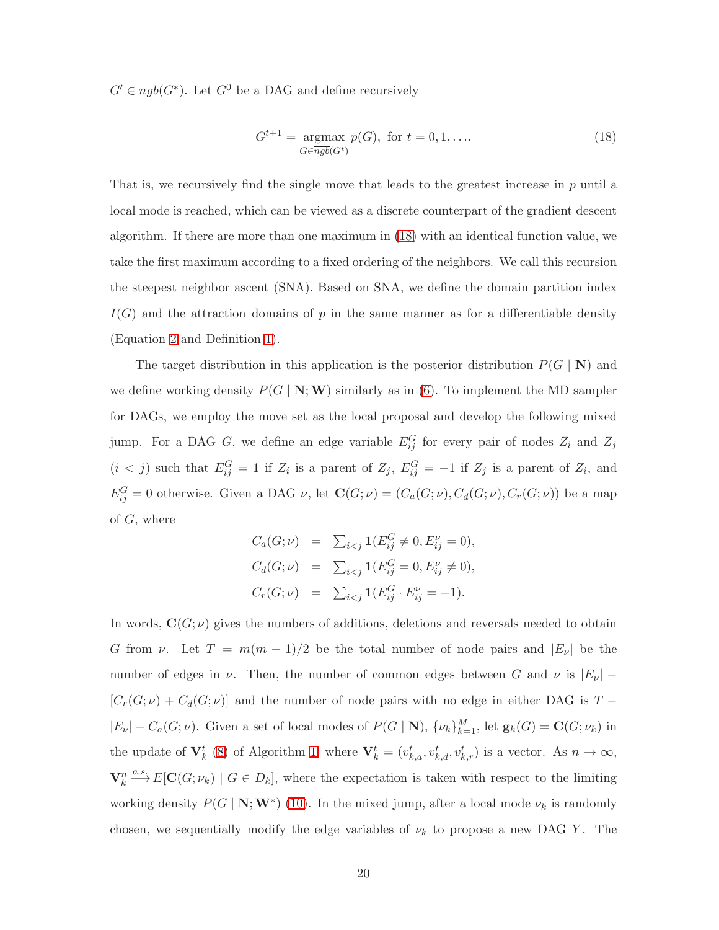$G' \in ngb(G^*)$ . Let  $G^0$  be a DAG and define recursively

$$
G^{t+1} = \underset{G \in \overline{ngb}(G^t)}{\text{argmax}} p(G), \text{ for } t = 0, 1, \dots
$$
\n(18)

That is, we recursively find the single move that leads to the greatest increase in  $p$  until a local mode is reached, which can be viewed as a discrete counterpart of the gradient descent algorithm. If there are more than one maximum in (18) with an identical function value, we take the first maximum according to a fixed ordering of the neighbors. We call this recursion the steepest neighbor ascent (SNA). Based on SNA, we define the domain partition index  $I(G)$  and the attraction domains of p in the same manner as for a differentiable density (Equation 2 and Definition 1).

The target distribution in this application is the posterior distribution  $P(G | N)$  and we define working density  $P(G | N; W)$  similarly as in (6). To implement the MD sampler for DAGs, we employ the move set as the local proposal and develop the following mixed jump. For a DAG G, we define an edge variable  $E_{ij}^G$  for every pair of nodes  $Z_i$  and  $Z_j$  $(i < j)$  such that  $E_{ij}^G = 1$  if  $Z_i$  is a parent of  $Z_j$ ,  $E_{ij}^G = -1$  if  $Z_j$  is a parent of  $Z_i$ , and  $E_{ij}^G = 0$  otherwise. Given a DAG  $\nu$ , let  $\mathbf{C}(G; \nu) = (C_a(G; \nu), C_d(G; \nu), C_r(G; \nu))$  be a map of G, where

$$
C_a(G; \nu) = \sum_{i < j} \mathbf{1}(E_{ij}^G \neq 0, E_{ij}^{\nu} = 0),
$$
\n
$$
C_d(G; \nu) = \sum_{i < j} \mathbf{1}(E_{ij}^G = 0, E_{ij}^{\nu} \neq 0),
$$
\n
$$
C_r(G; \nu) = \sum_{i < j} \mathbf{1}(E_{ij}^G \cdot E_{ij}^{\nu} = -1).
$$

In words,  $\mathbf{C}(G; \nu)$  gives the numbers of additions, deletions and reversals needed to obtain G from  $\nu$ . Let  $T = m(m-1)/2$  be the total number of node pairs and  $|E_{\nu}|$  be the number of edges in  $\nu$ . Then, the number of common edges between G and  $\nu$  is  $|E_{\nu}|$  –  $[C_r(G; \nu) + C_d(G; \nu)]$  and the number of node pairs with no edge in either DAG is T −  $|E_{\nu}| - C_a(G; \nu)$ . Given a set of local modes of  $P(G | N)$ ,  $\{\nu_k\}_{k=1}^M$ , let  $\mathbf{g}_k(G) = \mathbf{C}(G; \nu_k)$  in the update of  $\mathbf{V}_k^t$  (8) of Algorithm [1,](#page-8-0) where  $\mathbf{V}_k^t = (v_{k,a}^t, v_{k,a}^t, v_{k,r}^t)$  is a vector. As  $n \to \infty$ ,  $\mathbf{V}_k^n \stackrel{a.s.}{\longrightarrow} E[\mathbf{C}(G; \nu_k) \mid G \in D_k],$  where the expectation is taken with respect to the limiting working density  $P(G | N; W^*)$  (10). In the mixed jump, after a local mode  $\nu_k$  is randomly chosen, we sequentially modify the edge variables of  $\nu_k$  to propose a new DAG Y. The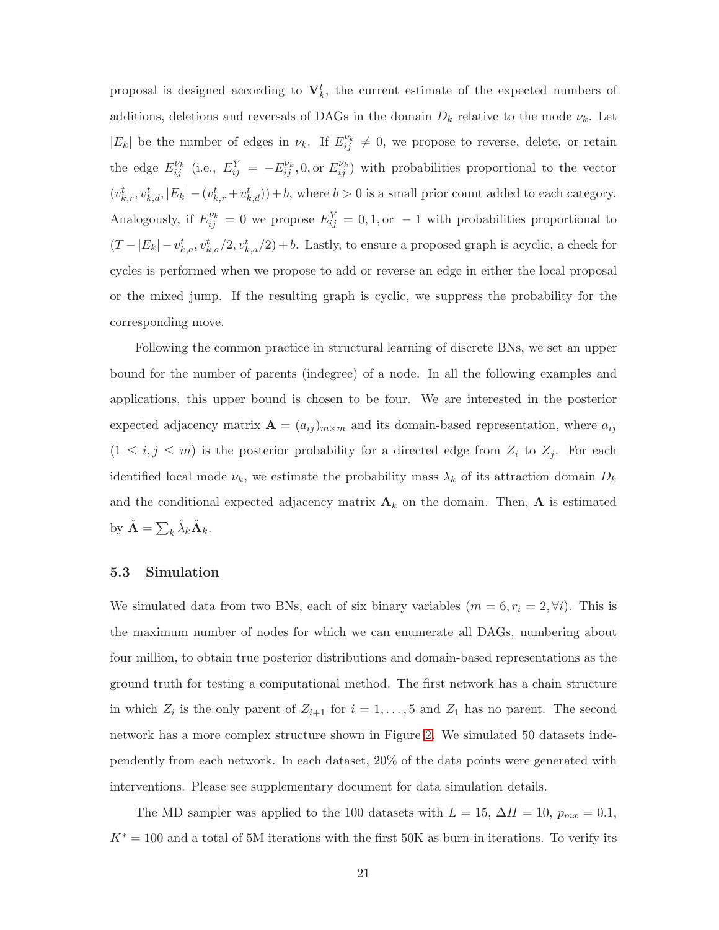proposal is designed according to  $V_k^t$ , the current estimate of the expected numbers of additions, deletions and reversals of DAGs in the domain  $D_k$  relative to the mode  $\nu_k$ . Let  $|E_k|$  be the number of edges in  $\nu_k$ . If  $E_{ij}^{\nu_k} \neq 0$ , we propose to reverse, delete, or retain the edge  $E_{ij}^{\nu_k}$  (i.e.,  $E_{ij}^Y = -E_{ij}^{\nu_k}$ , 0, or  $E_{ij}^{\nu_k}$ ) with probabilities proportional to the vector  $(v_{k,r}^t, v_{k,d}^t, |E_k| - (v_{k,r}^t + v_{k,d}^t)) + b$ , where  $b > 0$  is a small prior count added to each category. Analogously, if  $E_{ij}^{\nu_k} = 0$  we propose  $E_{ij}^Y = 0, 1,$  or  $-1$  with probabilities proportional to  $(T - |E_k| - v_{k,a}^t, v_{k,a}^t/2, v_{k,a}^t/2) + b$ . Lastly, to ensure a proposed graph is acyclic, a check for cycles is performed when we propose to add or reverse an edge in either the local proposal or the mixed jump. If the resulting graph is cyclic, we suppress the probability for the corresponding move.

Following the common practice in structural learning of discrete BNs, we set an upper bound for the number of parents (indegree) of a node. In all the following examples and applications, this upper bound is chosen to be four. We are interested in the posterior expected adjacency matrix  $\mathbf{A} = (a_{ij})_{m \times m}$  and its domain-based representation, where  $a_{ij}$  $(1 \le i, j \le m)$  is the posterior probability for a directed edge from  $Z_i$  to  $Z_j$ . For each identified local mode  $\nu_k$ , we estimate the probability mass  $\lambda_k$  of its attraction domain  $D_k$ and the conditional expected adjacency matrix  $\mathbf{A}_k$  on the domain. Then,  $\mathbf{A}$  is estimated by  $\hat{\mathbf{A}} = \sum_k \hat{\lambda}_k \hat{\mathbf{A}}_k$ .

#### 5.3 Simulation

We simulated data from two BNs, each of six binary variables  $(m = 6, r_i = 2, \forall i)$ . This is the maximum number of nodes for which we can enumerate all DAGs, numbering about four million, to obtain true posterior distributions and domain-based representations as the ground truth for testing a computational method. The first network has a chain structure in which  $Z_i$  is the only parent of  $Z_{i+1}$  for  $i = 1, ..., 5$  and  $Z_1$  has no parent. The second network has a more complex structure shown in Figure 2. We simulated 50 datasets independently from each network. In each dataset, 20% of the data points were generated with interventions. Please see supplementary document for data simulation details.

The MD sampler was applied to the 100 datasets with  $L = 15$ ,  $\Delta H = 10$ ,  $p_{mx} = 0.1$ ,  $K^* = 100$  and a total of 5M iterations with the first 50K as burn-in iterations. To verify its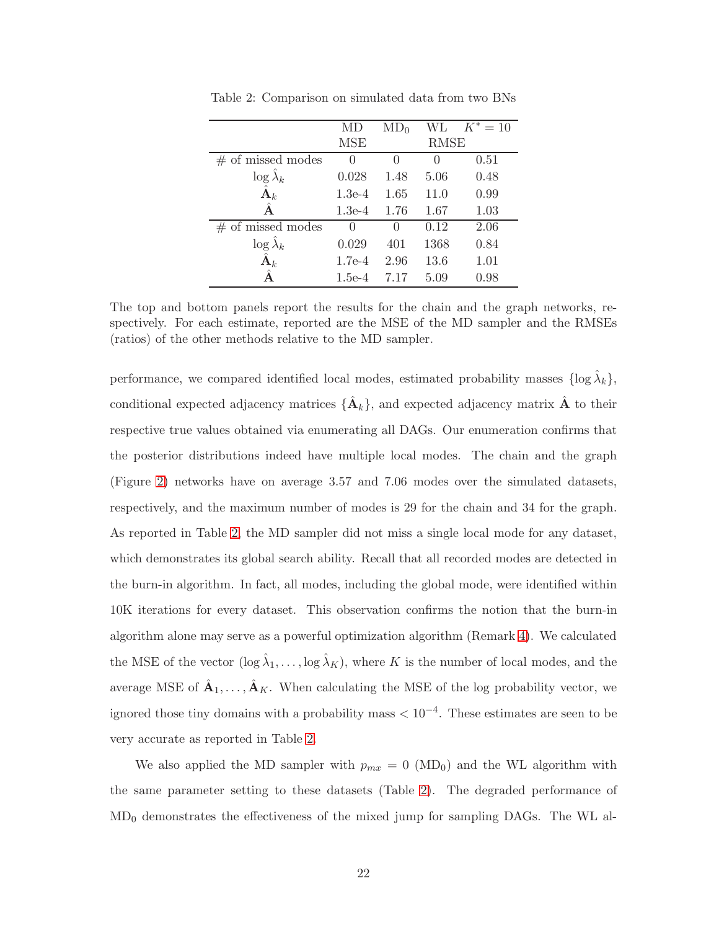|                          |                  | $MD_0$       | WL.         | $K^* = 10$ |
|--------------------------|------------------|--------------|-------------|------------|
|                          | MSE              |              | <b>RMSE</b> |            |
| $#$ of missed modes      | $\left( \right)$ |              |             | 0.51       |
| $\log \tilde{\lambda}_k$ | 0.028            | 1.48         | 5.06        | 0.48       |
| $\hat{\textbf{A}}_k$     | $1.3e-4$         | 1.65         | 11.0        | 0.99       |
| Â                        | $1.3e-4$         | 1.76         | 1.67        | 1.03       |
| $#$ of missed modes      | ∩                | $\mathbf{0}$ | 0.12        | 2.06       |
| $\log \lambda_k$         | 0.029            | 401          | 1368        | 0.84       |
| $\hat{\textbf{A}}_k$     | $1.7e-4$         | 2.96         | 13.6        | 1.01       |
|                          | $1.5e-4$         | 7.17         | 5.09        | 0.98       |

Table 2: Comparison on simulated data from two BNs

The top and bottom panels report the results for the chain and the graph networks, respectively. For each estimate, reported are the MSE of the MD sampler and the RMSEs (ratios) of the other methods relative to the MD sampler.

performance, we compared identified local modes, estimated probability masses  $\{\log \hat{\lambda}_k\},\$ conditional expected adjacency matrices  $\{\hat{\mathbf{A}}_k\}$ , and expected adjacency matrix  $\hat{\mathbf{A}}$  to their respective true values obtained via enumerating all DAGs. Our enumeration confirms that the posterior distributions indeed have multiple local modes. The chain and the graph (Figure 2) networks have on average 3.57 and 7.06 modes over the simulated datasets, respectively, and the maximum number of modes is 29 for the chain and 34 for the graph. As reported in Table 2, the MD sampler did not miss a single local mode for any dataset, which demonstrates its global search ability. Recall that all recorded modes are detected in the burn-in algorithm. In fact, all modes, including the global mode, were identified within 10K iterations for every dataset. This observation confirms the notion that the burn-in algorithm alone may serve as a powerful optimization algorithm (Remark 4). We calculated the MSE of the vector  $(\log \hat{\lambda}_1, \ldots, \log \hat{\lambda}_K)$ , where K is the number of local modes, and the average MSE of  $\hat{A}_1, \ldots, \hat{A}_K$ . When calculating the MSE of the log probability vector, we ignored those tiny domains with a probability mass < 10−<sup>4</sup> . These estimates are seen to be very accurate as reported in Table 2.

We also applied the MD sampler with  $p_{mx} = 0$  (MD<sub>0</sub>) and the WL algorithm with the same parameter setting to these datasets (Table 2). The degraded performance of  $MD_0$  demonstrates the effectiveness of the mixed jump for sampling DAGs. The WL al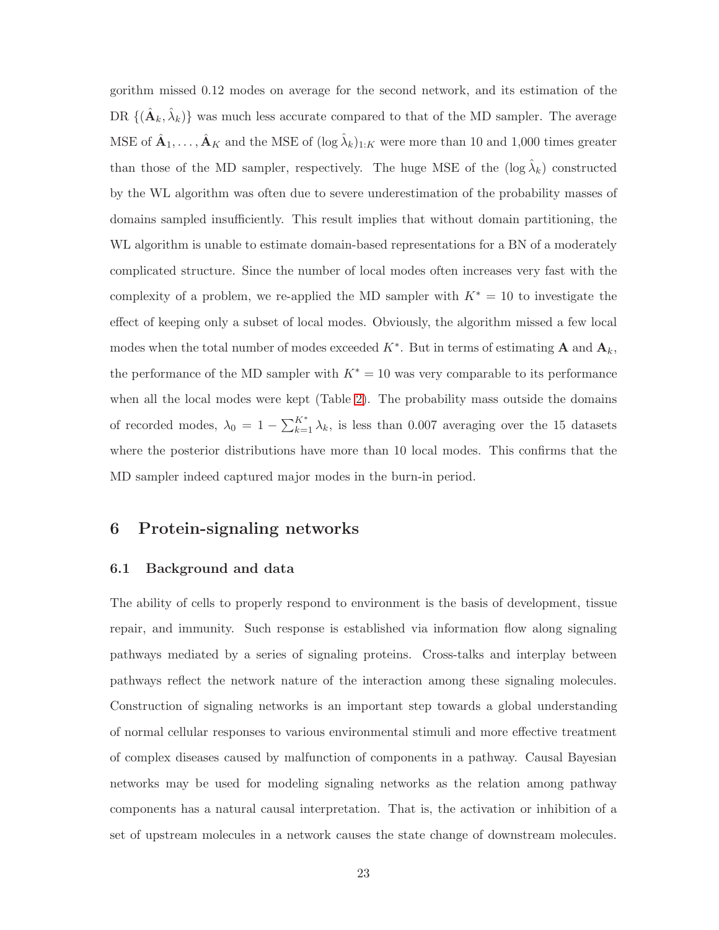gorithm missed 0.12 modes on average for the second network, and its estimation of the DR  $\{(\hat{\mathbf{A}}_k, \hat{\lambda}_k)\}\$  was much less accurate compared to that of the MD sampler. The average MSE of  $\hat{A}_1,\ldots,\hat{A}_K$  and the MSE of  $(\log \hat{\lambda}_k)_{1:K}$  were more than 10 and 1,000 times greater than those of the MD sampler, respectively. The huge MSE of the  $(\log \hat{\lambda}_k)$  constructed by the WL algorithm was often due to severe underestimation of the probability masses of domains sampled insufficiently. This result implies that without domain partitioning, the WL algorithm is unable to estimate domain-based representations for a BN of a moderately complicated structure. Since the number of local modes often increases very fast with the complexity of a problem, we re-applied the MD sampler with  $K^* = 10$  to investigate the effect of keeping only a subset of local modes. Obviously, the algorithm missed a few local modes when the total number of modes exceeded  $K^*$ . But in terms of estimating **A** and  $\mathbf{A}_k$ , the performance of the MD sampler with  $K^* = 10$  was very comparable to its performance when all the local modes were kept (Table 2). The probability mass outside the domains of recorded modes,  $\lambda_0 = 1 - \sum_{k=1}^{K^*} \lambda_k$ , is less than 0.007 averaging over the 15 datasets where the posterior distributions have more than 10 local modes. This confirms that the MD sampler indeed captured major modes in the burn-in period.

# 6 Protein-signaling networks

#### 6.1 Background and data

The ability of cells to properly respond to environment is the basis of development, tissue repair, and immunity. Such response is established via information flow along signaling pathways mediated by a series of signaling proteins. Cross-talks and interplay between pathways reflect the network nature of the interaction among these signaling molecules. Construction of signaling networks is an important step towards a global understanding of normal cellular responses to various environmental stimuli and more effective treatment of complex diseases caused by malfunction of components in a pathway. Causal Bayesian networks may be used for modeling signaling networks as the relation among pathway components has a natural causal interpretation. That is, the activation or inhibition of a set of upstream molecules in a network causes the state change of downstream molecules.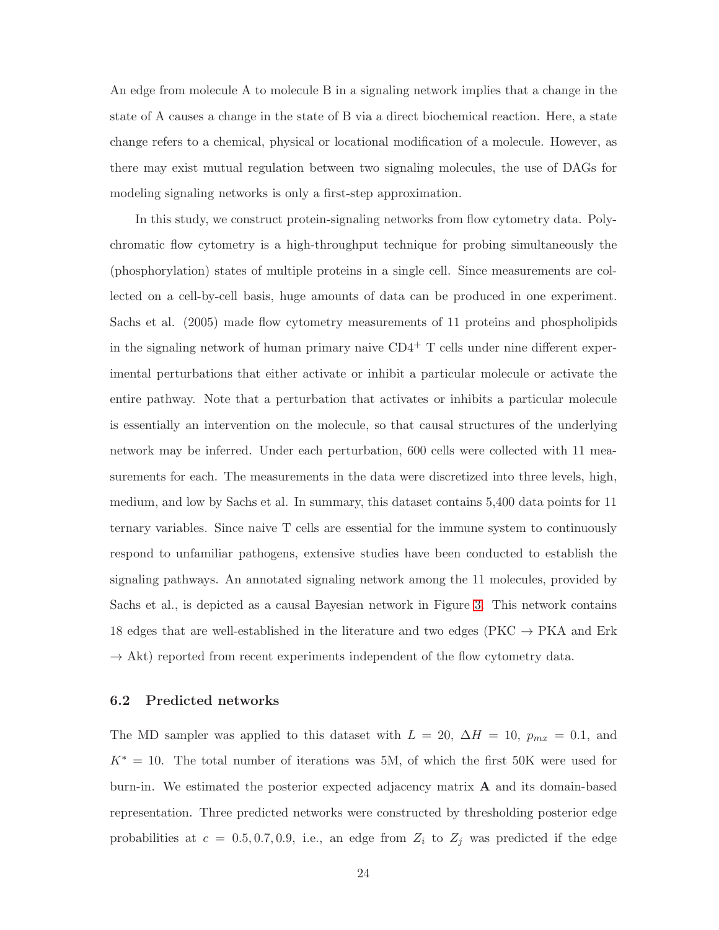An edge from molecule A to molecule B in a signaling network implies that a change in the state of A causes a change in the state of B via a direct biochemical reaction. Here, a state change refers to a chemical, physical or locational modification of a molecule. However, as there may exist mutual regulation between two signaling molecules, the use of DAGs for modeling signaling networks is only a first-step approximation.

In this study, we construct protein-signaling networks from flow cytometry data. Polychromatic flow cytometry is a high-throughput technique for probing simultaneously the (phosphorylation) states of multiple proteins in a single cell. Since measurements are collected on a cell-by-cell basis, huge amounts of data can be produced in one experiment. Sachs et al. (2005) made flow cytometry measurements of 11 proteins and phospholipids in the signaling network of human primary naive  $CD4^+$  T cells under nine different experimental perturbations that either activate or inhibit a particular molecule or activate the entire pathway. Note that a perturbation that activates or inhibits a particular molecule is essentially an intervention on the molecule, so that causal structures of the underlying network may be inferred. Under each perturbation, 600 cells were collected with 11 measurements for each. The measurements in the data were discretized into three levels, high, medium, and low by Sachs et al. In summary, this dataset contains 5,400 data points for 11 ternary variables. Since naive T cells are essential for the immune system to continuously respond to unfamiliar pathogens, extensive studies have been conducted to establish the signaling pathways. An annotated signaling network among the 11 molecules, provided by Sachs et al., is depicted as a causal Bayesian network in Figure 3. This network contains 18 edges that are well-established in the literature and two edges ( $\text{PKC} \rightarrow \text{PKA}$  and  $\text{Erk}$  $\rightarrow$  Akt) reported from recent experiments independent of the flow cytometry data.

#### 6.2 Predicted networks

The MD sampler was applied to this dataset with  $L = 20$ ,  $\Delta H = 10$ ,  $p_{mx} = 0.1$ , and  $K^* = 10$ . The total number of iterations was 5M, of which the first 50K were used for burn-in. We estimated the posterior expected adjacency matrix  $A$  and its domain-based representation. Three predicted networks were constructed by thresholding posterior edge probabilities at  $c = 0.5, 0.7, 0.9$ , i.e., an edge from  $Z_i$  to  $Z_j$  was predicted if the edge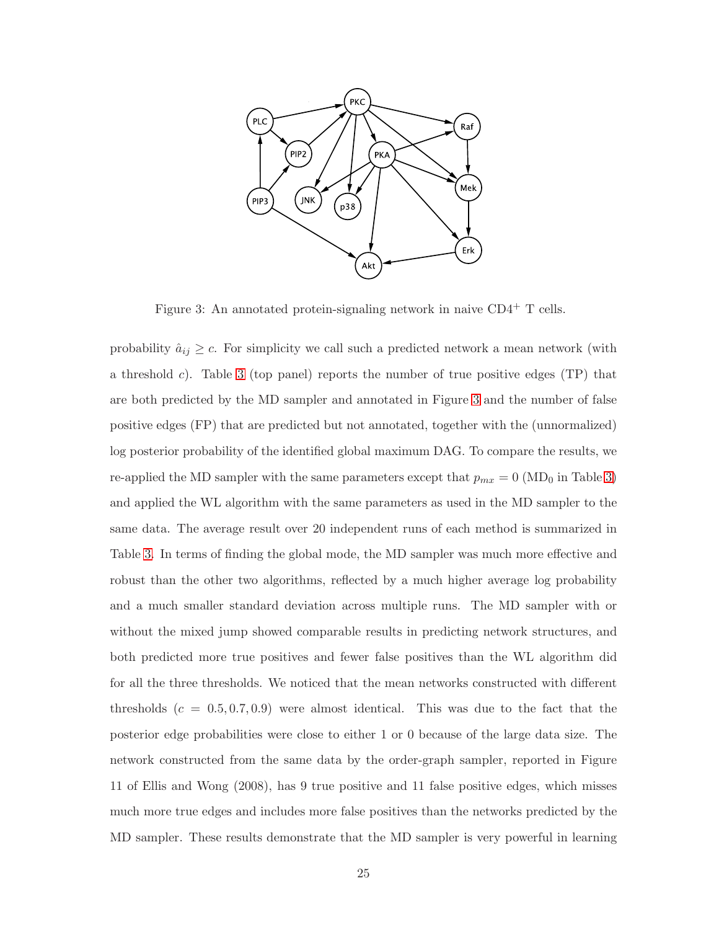

Figure 3: An annotated protein-signaling network in naive CD4<sup>+</sup> T cells.

probability  $\hat{a}_{ij} \geq c$ . For simplicity we call such a predicted network a mean network (with a threshold c). Table 3 (top panel) reports the number of true positive edges (TP) that are both predicted by the MD sampler and annotated in Figure 3 and the number of false positive edges (FP) that are predicted but not annotated, together with the (unnormalized) log posterior probability of the identified global maximum DAG. To compare the results, we re-applied the MD sampler with the same parameters except that  $p_{mx} = 0$  (MD<sub>0</sub> in Table 3) and applied the WL algorithm with the same parameters as used in the MD sampler to the same data. The average result over 20 independent runs of each method is summarized in Table 3. In terms of finding the global mode, the MD sampler was much more effective and robust than the other two algorithms, reflected by a much higher average log probability and a much smaller standard deviation across multiple runs. The MD sampler with or without the mixed jump showed comparable results in predicting network structures, and both predicted more true positives and fewer false positives than the WL algorithm did for all the three thresholds. We noticed that the mean networks constructed with different thresholds  $(c = 0.5, 0.7, 0.9)$  were almost identical. This was due to the fact that the posterior edge probabilities were close to either 1 or 0 because of the large data size. The network constructed from the same data by the order-graph sampler, reported in Figure 11 of Ellis and Wong (2008), has 9 true positive and 11 false positive edges, which misses much more true edges and includes more false positives than the networks predicted by the MD sampler. These results demonstrate that the MD sampler is very powerful in learning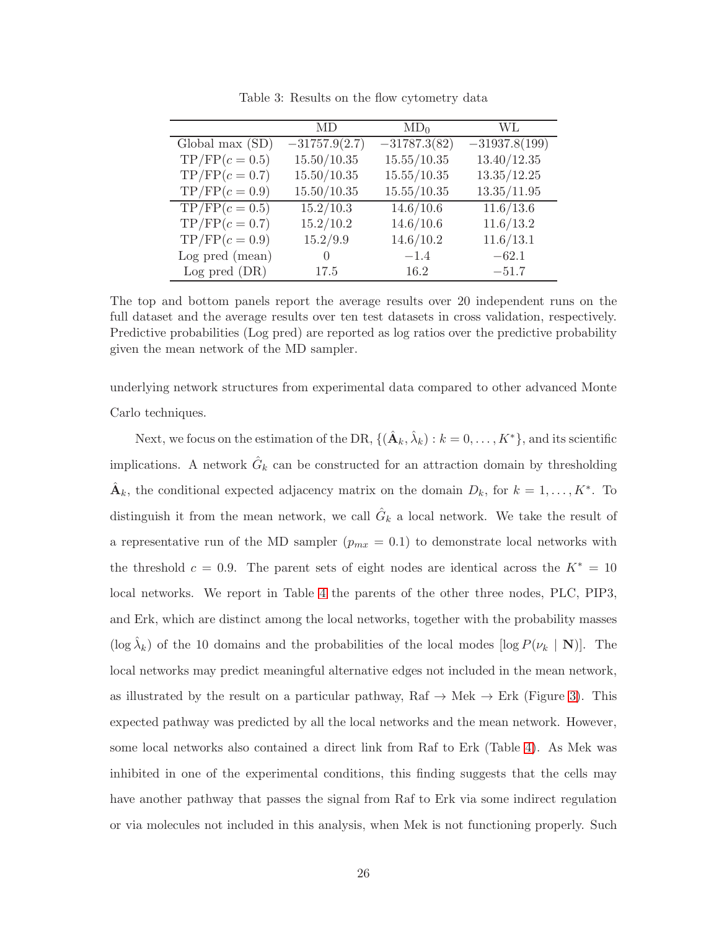|                  | MD              | $MD_0$         | WL.             |
|------------------|-----------------|----------------|-----------------|
| Global max (SD)  | $-31757.9(2.7)$ | $-31787.3(82)$ | $-31937.8(199)$ |
| $TP/FP(c=0.5)$   | 15.50/10.35     | 15.55/10.35    | 13.40/12.35     |
| $TP/FP(c = 0.7)$ | 15.50/10.35     | 15.55/10.35    | 13.35/12.25     |
| $TP/FP(c=0.9)$   | 15.50/10.35     | 15.55/10.35    | 13.35/11.95     |
| $TP/FP(c=0.5)$   | 15.2/10.3       | 14.6/10.6      | 11.6/13.6       |
| $TP/FP(c=0.7)$   | 15.2/10.2       | 14.6/10.6      | 11.6/13.2       |
| $TP/FP(c=0.9)$   | 15.2/9.9        | 14.6/10.2      | 11.6/13.1       |
| Log pred (mean)  | 0               | $-1.4$         | $-62.1$         |
| Log pred (DR)    | 17.5            | 16.2           | $-51.7$         |

Table 3: Results on the flow cytometry data

The top and bottom panels report the average results over 20 independent runs on the full dataset and the average results over ten test datasets in cross validation, respectively. Predictive probabilities (Log pred) are reported as log ratios over the predictive probability given the mean network of the MD sampler.

underlying network structures from experimental data compared to other advanced Monte Carlo techniques.

Next, we focus on the estimation of the DR,  $\{(\hat{\mathbf{A}}_k, \hat{\lambda}_k) : k = 0, \ldots, K^*\}$ , and its scientific implications. A network  $\hat{G}_k$  can be constructed for an attraction domain by thresholding  $\hat{\mathbf{A}}_k$ , the conditional expected adjacency matrix on the domain  $D_k$ , for  $k = 1, \ldots, K^*$ . To distinguish it from the mean network, we call  $\hat{G}_k$  a local network. We take the result of a representative run of the MD sampler  $(p_{mx} = 0.1)$  to demonstrate local networks with the threshold  $c = 0.9$ . The parent sets of eight nodes are identical across the  $K^* = 10$ local networks. We report in Table 4 the parents of the other three nodes, PLC, PIP3, and Erk, which are distinct among the local networks, together with the probability masses (log  $\hat{\lambda}_k$ ) of the 10 domains and the probabilities of the local modes [log  $P(\nu_k | \mathbf{N})$ ]. The local networks may predict meaningful alternative edges not included in the mean network, as illustrated by the result on a particular pathway,  $\text{Raf} \rightarrow \text{Mek} \rightarrow \text{Erk}$  (Figure 3). This expected pathway was predicted by all the local networks and the mean network. However, some local networks also contained a direct link from Raf to Erk (Table 4). As Mek was inhibited in one of the experimental conditions, this finding suggests that the cells may have another pathway that passes the signal from Raf to Erk via some indirect regulation or via molecules not included in this analysis, when Mek is not functioning properly. Such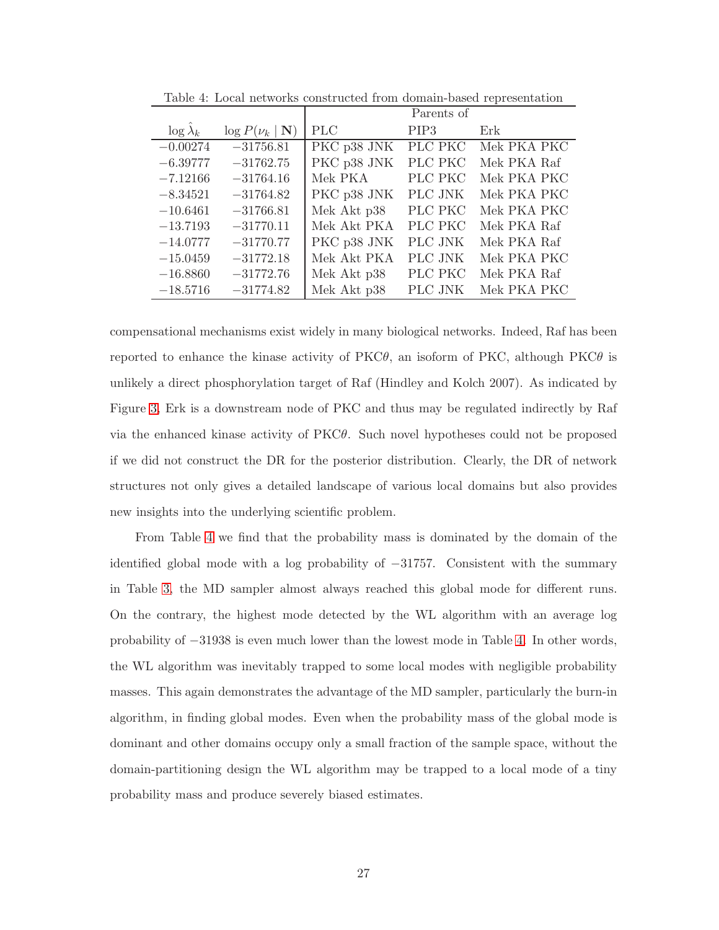|                  |                              | Parents of  |                  |             |  |
|------------------|------------------------------|-------------|------------------|-------------|--|
| $\log \lambda_k$ | $\log P(\nu_k   \mathbf{N})$ | <b>PLC</b>  | PIP <sub>3</sub> | Erk         |  |
| $-0.00274$       | $-31756.81$                  | PKC p38 JNK | PLC PKC          | Mek PKA PKC |  |
| $-6.39777$       | $-31762.75$                  | PKC p38 JNK | PLC PKC          | Mek PKA Raf |  |
| $-7.12166$       | $-31764.16$                  | Mek PKA     | PLC PKC          | Mek PKA PKC |  |
| $-8.34521$       | $-31764.82$                  | PKC p38 JNK | PLC JNK          | Mek PKA PKC |  |
| $-10.6461$       | $-31766.81$                  | Mek Akt p38 | PLC PKC          | Mek PKA PKC |  |
| $-13.7193$       | $-31770.11$                  | Mek Akt PKA | PLC PKC          | Mek PKA Raf |  |
| $-14.0777$       | $-31770.77$                  | PKC p38 JNK | PLC JNK          | Mek PKA Raf |  |
| $-15.0459$       | $-31772.18$                  | Mek Akt PKA | PLC JNK          | Mek PKA PKC |  |
| $-16.8860$       | $-31772.76$                  | Mek Akt p38 | PLC PKC          | Mek PKA Raf |  |
| $-18.5716$       | $-31774.82$                  | Mek Akt p38 | PLC JNK          | Mek PKA PKC |  |

Table 4: Local networks constructed from domain-based representation

compensational mechanisms exist widely in many biological networks. Indeed, Raf has been reported to enhance the kinase activity of  $PKC\theta$ , an isoform of PKC, although PKC $\theta$  is unlikely a direct phosphorylation target of Raf (Hindley and Kolch 2007). As indicated by Figure 3, Erk is a downstream node of PKC and thus may be regulated indirectly by Raf via the enhanced kinase activity of PKCθ. Such novel hypotheses could not be proposed if we did not construct the DR for the posterior distribution. Clearly, the DR of network structures not only gives a detailed landscape of various local domains but also provides new insights into the underlying scientific problem.

From Table 4 we find that the probability mass is dominated by the domain of the identified global mode with a log probability of −31757. Consistent with the summary in Table 3, the MD sampler almost always reached this global mode for different runs. On the contrary, the highest mode detected by the WL algorithm with an average log probability of −31938 is even much lower than the lowest mode in Table 4. In other words, the WL algorithm was inevitably trapped to some local modes with negligible probability masses. This again demonstrates the advantage of the MD sampler, particularly the burn-in algorithm, in finding global modes. Even when the probability mass of the global mode is dominant and other domains occupy only a small fraction of the sample space, without the domain-partitioning design the WL algorithm may be trapped to a local mode of a tiny probability mass and produce severely biased estimates.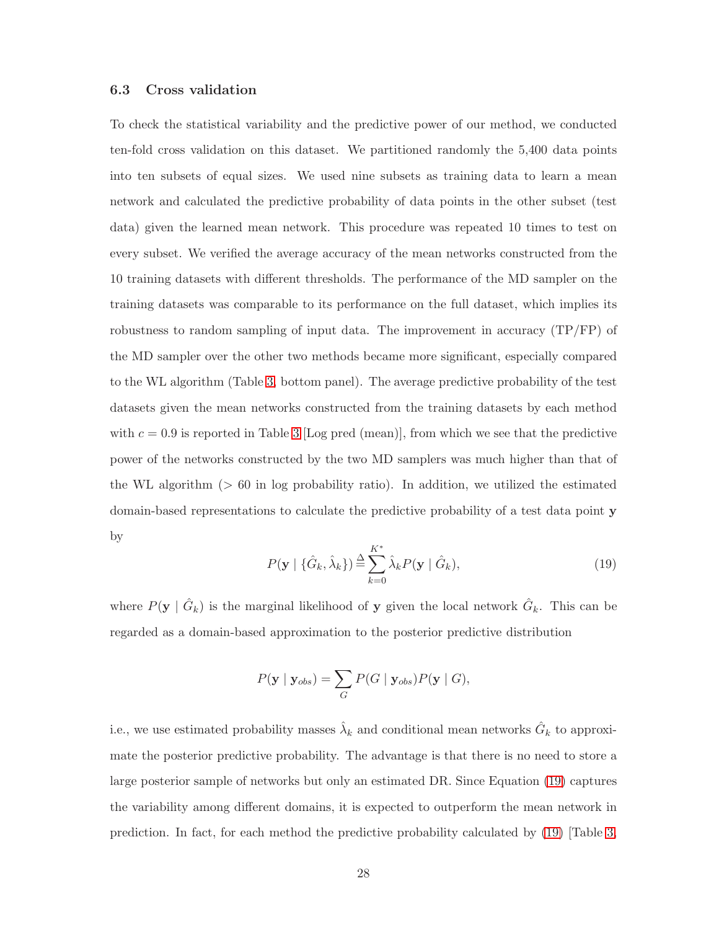#### 6.3 Cross validation

To check the statistical variability and the predictive power of our method, we conducted ten-fold cross validation on this dataset. We partitioned randomly the 5,400 data points into ten subsets of equal sizes. We used nine subsets as training data to learn a mean network and calculated the predictive probability of data points in the other subset (test data) given the learned mean network. This procedure was repeated 10 times to test on every subset. We verified the average accuracy of the mean networks constructed from the 10 training datasets with different thresholds. The performance of the MD sampler on the training datasets was comparable to its performance on the full dataset, which implies its robustness to random sampling of input data. The improvement in accuracy (TP/FP) of the MD sampler over the other two methods became more significant, especially compared to the WL algorithm (Table 3, bottom panel). The average predictive probability of the test datasets given the mean networks constructed from the training datasets by each method with  $c = 0.9$  is reported in Table 3 [Log pred (mean)], from which we see that the predictive power of the networks constructed by the two MD samplers was much higher than that of the WL algorithm  $(> 60$  in log probability ratio). In addition, we utilized the estimated domain-based representations to calculate the predictive probability of a test data point y by

$$
P(\mathbf{y} \mid \{\hat{G}_k, \hat{\lambda}_k\}) \stackrel{\Delta}{=} \sum_{k=0}^{K^*} \hat{\lambda}_k P(\mathbf{y} \mid \hat{G}_k),
$$
\n(19)

where  $P(\mathbf{y} \mid \hat{G}_k)$  is the marginal likelihood of y given the local network  $\hat{G}_k$ . This can be regarded as a domain-based approximation to the posterior predictive distribution

$$
P(\mathbf{y} \mid \mathbf{y}_{obs}) = \sum_{G} P(G \mid \mathbf{y}_{obs}) P(\mathbf{y} \mid G),
$$

i.e., we use estimated probability masses  $\hat{\lambda}_k$  and conditional mean networks  $\hat{G}_k$  to approximate the posterior predictive probability. The advantage is that there is no need to store a large posterior sample of networks but only an estimated DR. Since Equation (19) captures the variability among different domains, it is expected to outperform the mean network in prediction. In fact, for each method the predictive probability calculated by (19) [Table 3,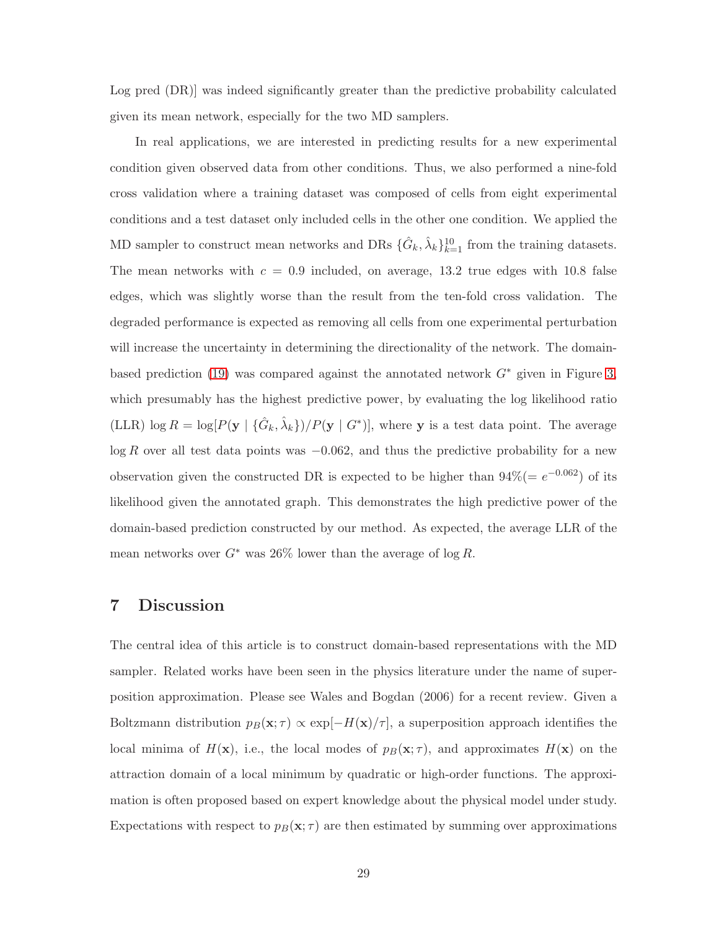Log pred (DR)] was indeed significantly greater than the predictive probability calculated given its mean network, especially for the two MD samplers.

In real applications, we are interested in predicting results for a new experimental condition given observed data from other conditions. Thus, we also performed a nine-fold cross validation where a training dataset was composed of cells from eight experimental conditions and a test dataset only included cells in the other one condition. We applied the MD sampler to construct mean networks and DRs  $\{\hat{G}_k, \hat{\lambda}_k\}_{k=1}^{10}$  from the training datasets. The mean networks with  $c = 0.9$  included, on average, 13.2 true edges with 10.8 false edges, which was slightly worse than the result from the ten-fold cross validation. The degraded performance is expected as removing all cells from one experimental perturbation will increase the uncertainty in determining the directionality of the network. The domainbased prediction (19) was compared against the annotated network  $G^*$  given in Figure 3, which presumably has the highest predictive power, by evaluating the log likelihood ratio (LLR)  $\log R = \log[P(\mathbf{y} | {\hat{G}_k, \hat{\lambda}_k})/P(\mathbf{y} | G^*)]$ , where **y** is a test data point. The average  $\log R$  over all test data points was  $-0.062$ , and thus the predictive probability for a new observation given the constructed DR is expected to be higher than  $94\% (= e^{-0.062})$  of its likelihood given the annotated graph. This demonstrates the high predictive power of the domain-based prediction constructed by our method. As expected, the average LLR of the mean networks over  $G^*$  was 26% lower than the average of log R.

# 7 Discussion

The central idea of this article is to construct domain-based representations with the MD sampler. Related works have been seen in the physics literature under the name of superposition approximation. Please see Wales and Bogdan (2006) for a recent review. Given a Boltzmann distribution  $p_B(\mathbf{x}; \tau) \propto \exp[-H(\mathbf{x})/\tau]$ , a superposition approach identifies the local minima of  $H(\mathbf{x})$ , i.e., the local modes of  $p_B(\mathbf{x}; \tau)$ , and approximates  $H(\mathbf{x})$  on the attraction domain of a local minimum by quadratic or high-order functions. The approximation is often proposed based on expert knowledge about the physical model under study. Expectations with respect to  $p_B(\mathbf{x}; \tau)$  are then estimated by summing over approximations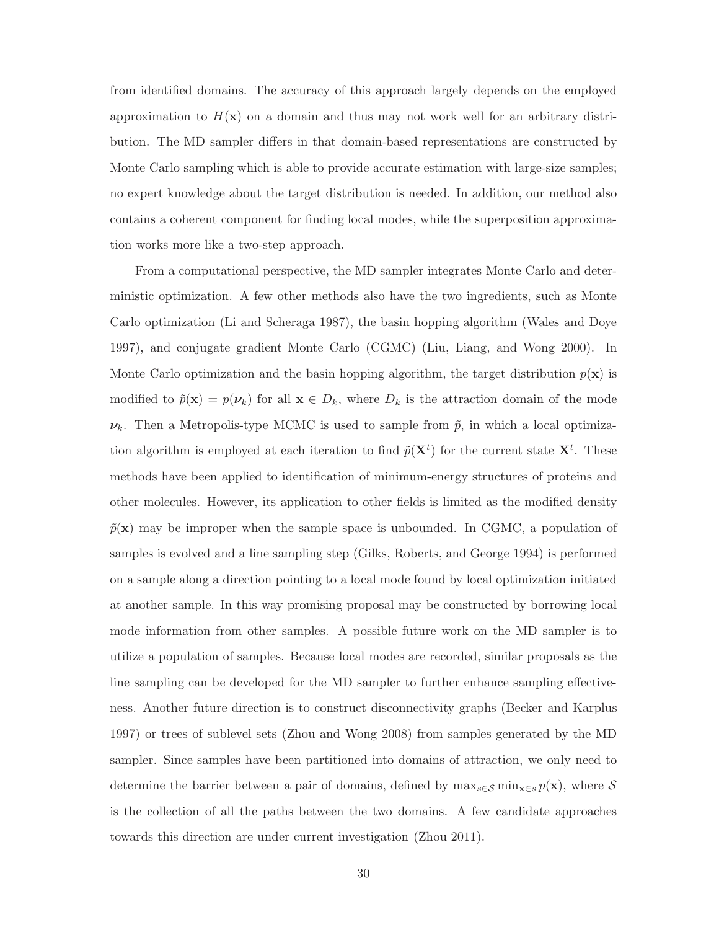from identified domains. The accuracy of this approach largely depends on the employed approximation to  $H(\mathbf{x})$  on a domain and thus may not work well for an arbitrary distribution. The MD sampler differs in that domain-based representations are constructed by Monte Carlo sampling which is able to provide accurate estimation with large-size samples; no expert knowledge about the target distribution is needed. In addition, our method also contains a coherent component for finding local modes, while the superposition approximation works more like a two-step approach.

From a computational perspective, the MD sampler integrates Monte Carlo and deterministic optimization. A few other methods also have the two ingredients, such as Monte Carlo optimization (Li and Scheraga 1987), the basin hopping algorithm (Wales and Doye 1997), and conjugate gradient Monte Carlo (CGMC) (Liu, Liang, and Wong 2000). In Monte Carlo optimization and the basin hopping algorithm, the target distribution  $p(x)$  is modified to  $\tilde{p}(\mathbf{x}) = p(\boldsymbol{\nu}_k)$  for all  $\mathbf{x} \in D_k$ , where  $D_k$  is the attraction domain of the mode  $\nu_k$ . Then a Metropolis-type MCMC is used to sample from  $\tilde{p}$ , in which a local optimization algorithm is employed at each iteration to find  $\tilde{p}(\mathbf{X}^t)$  for the current state  $\mathbf{X}^t$ . These methods have been applied to identification of minimum-energy structures of proteins and other molecules. However, its application to other fields is limited as the modified density  $\tilde{p}(\mathbf{x})$  may be improper when the sample space is unbounded. In CGMC, a population of samples is evolved and a line sampling step (Gilks, Roberts, and George 1994) is performed on a sample along a direction pointing to a local mode found by local optimization initiated at another sample. In this way promising proposal may be constructed by borrowing local mode information from other samples. A possible future work on the MD sampler is to utilize a population of samples. Because local modes are recorded, similar proposals as the line sampling can be developed for the MD sampler to further enhance sampling effectiveness. Another future direction is to construct disconnectivity graphs (Becker and Karplus 1997) or trees of sublevel sets (Zhou and Wong 2008) from samples generated by the MD sampler. Since samples have been partitioned into domains of attraction, we only need to determine the barrier between a pair of domains, defined by  $\max_{s \in \mathcal{S}} \min_{\mathbf{x} \in s} p(\mathbf{x})$ , where S is the collection of all the paths between the two domains. A few candidate approaches towards this direction are under current investigation (Zhou 2011).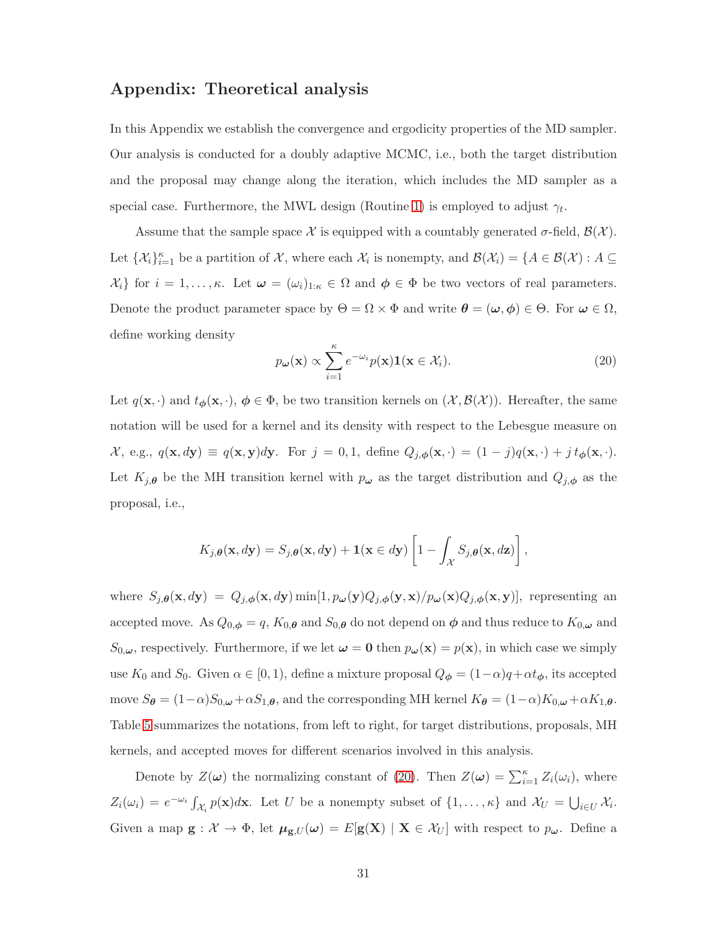# Appendix: Theoretical analysis

In this Appendix we establish the convergence and ergodicity properties of the MD sampler. Our analysis is conducted for a doubly adaptive MCMC, i.e., both the target distribution and the proposal may change along the iteration, which includes the MD sampler as a special case. Furthermore, the MWL design (Routine 1) is employed to adjust  $\gamma_t$ .

Assume that the sample space X is equipped with a countably generated  $\sigma$ -field,  $\mathcal{B}(\mathcal{X})$ . Let  $\{\mathcal{X}_i\}_{i=1}^{\kappa}$  be a partition of  $\mathcal{X}$ , where each  $\mathcal{X}_i$  is nonempty, and  $\mathcal{B}(\mathcal{X}_i) = \{A \in \mathcal{B}(\mathcal{X}) : A \subseteq$  $\{\mathcal{X}_i\}$  for  $i = 1, \ldots, \kappa$ . Let  $\boldsymbol{\omega} = (\omega_i)_{1:\kappa} \in \Omega$  and  $\boldsymbol{\phi} \in \Phi$  be two vectors of real parameters. Denote the product parameter space by  $\Theta = \Omega \times \Phi$  and write  $\theta = (\omega, \phi) \in \Theta$ . For  $\omega \in \Omega$ , define working density

$$
p_{\boldsymbol{\omega}}(\mathbf{x}) \propto \sum_{i=1}^{\kappa} e^{-\omega_i} p(\mathbf{x}) \mathbf{1}(\mathbf{x} \in \mathcal{X}_i).
$$
 (20)

Let  $q(\mathbf{x}, \cdot)$  and  $t_{\phi}(\mathbf{x}, \cdot), \phi \in \Phi$ , be two transition kernels on  $(\mathcal{X}, \mathcal{B}(\mathcal{X}))$ . Hereafter, the same notation will be used for a kernel and its density with respect to the Lebesgue measure on  $\mathcal{X},$  e.g.,  $q(\mathbf{x}, d\mathbf{y}) \equiv q(\mathbf{x}, \mathbf{y})d\mathbf{y}$ . For  $j = 0, 1$ , define  $Q_{j, \phi}(\mathbf{x}, \cdot) = (1 - j)q(\mathbf{x}, \cdot) + j t_{\phi}(\mathbf{x}, \cdot)$ . Let  $K_{j,\theta}$  be the MH transition kernel with  $p_{\omega}$  as the target distribution and  $Q_{j,\phi}$  as the proposal, i.e.,

$$
K_{j,\theta}(\mathbf{x}, d\mathbf{y}) = S_{j,\theta}(\mathbf{x}, d\mathbf{y}) + \mathbf{1}(\mathbf{x} \in d\mathbf{y}) \left[1 - \int_{\mathcal{X}} S_{j,\theta}(\mathbf{x}, d\mathbf{z})\right],
$$

where  $S_{j,\theta}(\mathbf{x}, d\mathbf{y}) = Q_{j,\phi}(\mathbf{x}, d\mathbf{y}) \min[1, p_{\omega}(\mathbf{y})Q_{j,\phi}(\mathbf{y}, \mathbf{x})/p_{\omega}(\mathbf{x})Q_{j,\phi}(\mathbf{x}, \mathbf{y})]$ , representing an accepted move. As  $Q_{0,\phi} = q$ ,  $K_{0,\theta}$  and  $S_{0,\theta}$  do not depend on  $\phi$  and thus reduce to  $K_{0,\omega}$  and  $S_{0,\omega}$ , respectively. Furthermore, if we let  $\omega = 0$  then  $p_{\omega}(\mathbf{x}) = p(\mathbf{x})$ , in which case we simply use  $K_0$  and  $S_0$ . Given  $\alpha \in [0, 1)$ , define a mixture proposal  $Q_{\phi} = (1 - \alpha)q + \alpha t_{\phi}$ , its accepted move  $S_{\theta} = (1-\alpha)S_{0,\omega} + \alpha S_{1,\theta}$ , and the corresponding MH kernel  $K_{\theta} = (1-\alpha)K_{0,\omega} + \alpha K_{1,\theta}$ . Table 5 summarizes the notations, from left to right, for target distributions, proposals, MH kernels, and accepted moves for different scenarios involved in this analysis.

Denote by  $Z(\boldsymbol{\omega})$  the normalizing constant of (20). Then  $Z(\boldsymbol{\omega}) = \sum_{i=1}^{\kappa} Z_i(\omega_i)$ , where  $Z_i(\omega_i) = e^{-\omega_i} \int_{\mathcal{X}_i} p(\mathbf{x}) d\mathbf{x}$ . Let U be a nonempty subset of  $\{1, \ldots, \kappa\}$  and  $\mathcal{X}_U = \bigcup_{i \in U} \mathcal{X}_i$ . Given a map  $g: \mathcal{X} \to \Phi$ , let  $\mu_{g,U}(\omega) = E[g(X)] \mathbf{X} \in \mathcal{X}_U$  with respect to  $p_\omega$ . Define a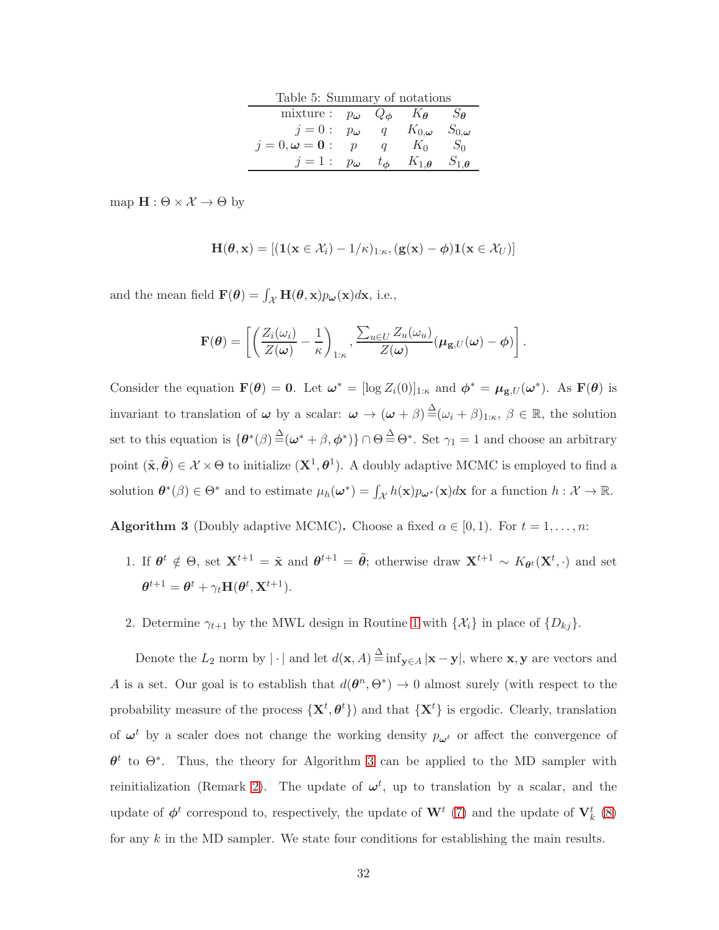| Table 5: Summary of notations                                                    |                  |                         |                             |                             |  |  |  |
|----------------------------------------------------------------------------------|------------------|-------------------------|-----------------------------|-----------------------------|--|--|--|
| mixture: $p_{\boldsymbol{\omega}} Q_{\boldsymbol{\phi}} K_{\boldsymbol{\theta}}$ |                  |                         |                             | $S_{\boldsymbol{\theta}}$   |  |  |  |
| $j=0$ :                                                                          | $p_{\omega}$     | $\mathfrak q$           | $K_{0,\boldsymbol{\omega}}$ | $S_{0,\boldsymbol{\omega}}$ |  |  |  |
| $i=0, \omega=0$ :                                                                | $\boldsymbol{v}$ |                         | $K_0$                       | $S_0$                       |  |  |  |
| $i=1$ :                                                                          | $p_{\omega}$     | $t_{\boldsymbol{\phi}}$ | $K_{1,\theta}$              | $S_{1,\boldsymbol{\theta}}$ |  |  |  |

map  $\mathbf{H} : \Theta \times \mathcal{X} \to \Theta$  by

$$
\mathbf{H}(\boldsymbol{\theta}, \mathbf{x}) = [(\mathbf{1}(\mathbf{x} \in \mathcal{X}_i) - \mathbf{1}/\kappa)_{1:\kappa}, (\mathbf{g}(\mathbf{x}) - \boldsymbol{\phi})\mathbf{1}(\mathbf{x} \in \mathcal{X}_U)]
$$

and the mean field  $\mathbf{F}(\theta) = \int_{\mathcal{X}} \mathbf{H}(\theta, \mathbf{x}) p_{\omega}(\mathbf{x}) d\mathbf{x}$ , i.e.,

$$
\mathbf{F}(\boldsymbol{\theta}) = \left[ \left( \frac{Z_i(\omega_i)}{Z(\boldsymbol{\omega})} - \frac{1}{\kappa} \right)_{1:\kappa}, \frac{\sum_{u \in U} Z_u(\omega_u)}{Z(\boldsymbol{\omega})} (\boldsymbol{\mu}_{\mathbf{g},U}(\boldsymbol{\omega}) - \boldsymbol{\phi}) \right].
$$

Consider the equation  $\mathbf{F}(\theta) = \mathbf{0}$ . Let  $\boldsymbol{\omega}^* = [\log Z_i(0)]_{1:\kappa}$  and  $\phi^* = \boldsymbol{\mu}_{\mathbf{g},U}(\boldsymbol{\omega}^*)$ . As  $\mathbf{F}(\theta)$  is invariant to translation of  $\omega$  by a scalar:  $\omega \to (\omega + \beta) \triangleq (\omega_i + \beta)_{1:\kappa}, \beta \in \mathbb{R}$ , the solution set to this equation is  $\{\theta^*(\beta) \triangleq (\omega^* + \beta, \phi^*)\} \cap \Theta \triangleq \Theta^*$ . Set  $\gamma_1 = 1$  and choose an arbitrary point  $(\tilde{\mathbf{x}}, \tilde{\boldsymbol{\theta}}) \in \mathcal{X} \times \Theta$  to initialize  $(\mathbf{X}^1, \boldsymbol{\theta}^1)$ . A doubly adaptive MCMC is employed to find a solution  $\theta^*(\beta) \in \Theta^*$  and to estimate  $\mu_h(\boldsymbol{\omega}^*) = \int_{\mathcal{X}} h(\mathbf{x}) p_{\boldsymbol{\omega}^*}(\mathbf{x}) d\mathbf{x}$  for a function  $h: \mathcal{X} \to \mathbb{R}$ .

<span id="page-31-0"></span>**Algorithm 3** (Doubly adaptive MCMC). Choose a fixed  $\alpha \in [0, 1)$ . For  $t = 1, ..., n$ :

1. If  $\theta^t \notin \Theta$ , set  $\mathbf{X}^{t+1} = \tilde{\mathbf{x}}$  and  $\theta^{t+1} = \tilde{\theta}$ ; otherwise draw  $\mathbf{X}^{t+1} \sim K_{\theta^t}(\mathbf{X}^t, \cdot)$  and set  $\boldsymbol{\theta}^{t+1} = \boldsymbol{\theta}^{t} + \gamma_t \mathbf{H}(\boldsymbol{\theta}^{t}, \mathbf{X}^{t+1}).$ 

2. Determine  $\gamma_{t+1}$  by the MWL design in Routine 1 with  $\{\mathcal{X}_i\}$  in place of  $\{D_{kj}\}.$ 

Denote the  $L_2$  norm by  $|\cdot|$  and let  $d(\mathbf{x}, A) \stackrel{\Delta}{=} \inf_{\mathbf{y} \in A} |\mathbf{x} - \mathbf{y}|$ , where  $\mathbf{x}, \mathbf{y}$  are vectors and A is a set. Our goal is to establish that  $d(\theta^n, \Theta^*) \to 0$  almost surely (with respect to the probability measure of the process  $\{X^t, \theta^t\}$  and that  $\{X^t\}$  is ergodic. Clearly, translation of  $\omega^t$  by a scaler does not change the working density  $p_{\omega^t}$  or affect the convergence of  $\theta^t$  to  $\Theta^*$ . Thus, the theory for Algorithm [3](#page-31-0) can be applied to the MD sampler with reinitialization (Remark 2). The update of  $\omega^t$ , up to translation by a scalar, and the update of  $\phi^t$  correspond to, respectively, the update of  $\mathbf{W}^t$  (7) and the update of  $\mathbf{V}_k^t$  (8) for any  $k$  in the MD sampler. We state four conditions for establishing the main results.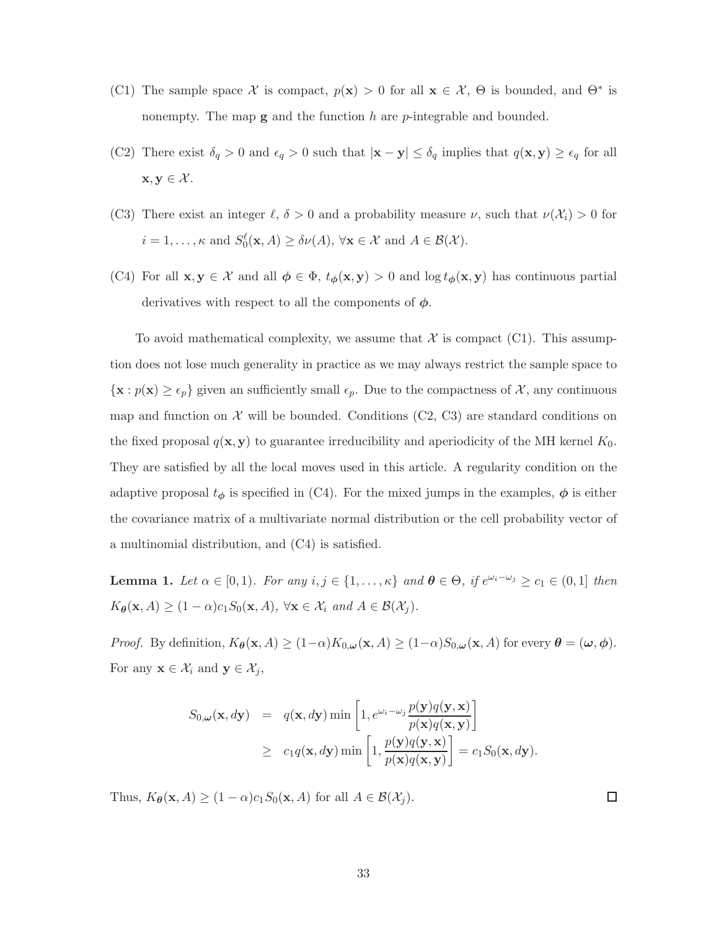- (C1) The sample space X is compact,  $p(x) > 0$  for all  $x \in \mathcal{X}$ ,  $\Theta$  is bounded, and  $\Theta^*$  is nonempty. The map  $g$  and the function  $h$  are  $p$ -integrable and bounded.
- (C2) There exist  $\delta_q > 0$  and  $\epsilon_q > 0$  such that  $|\mathbf{x} \mathbf{y}| \leq \delta_q$  implies that  $q(\mathbf{x}, \mathbf{y}) \geq \epsilon_q$  for all  $\mathbf{x}, \mathbf{y} \in \mathcal{X}$ .
- (C3) There exist an integer  $\ell, \delta > 0$  and a probability measure  $\nu$ , such that  $\nu(\mathcal{X}_i) > 0$  for  $i = 1, \ldots, \kappa$  and  $S_0^{\ell}(\mathbf{x}, A) \ge \delta \nu(A), \forall \mathbf{x} \in \mathcal{X}$  and  $A \in \mathcal{B}(\mathcal{X})$ .
- (C4) For all  $\mathbf{x}, \mathbf{y} \in \mathcal{X}$  and all  $\phi \in \Phi$ ,  $t_{\phi}(\mathbf{x}, \mathbf{y}) > 0$  and  $\log t_{\phi}(\mathbf{x}, \mathbf{y})$  has continuous partial derivatives with respect to all the components of  $\phi$ .

To avoid mathematical complexity, we assume that  $\mathcal X$  is compact (C1). This assumption does not lose much generality in practice as we may always restrict the sample space to  $\{x : p(x) \geq \epsilon_p\}$  given an sufficiently small  $\epsilon_p$ . Due to the compactness of X, any continuous map and function on  $\mathcal X$  will be bounded. Conditions (C2, C3) are standard conditions on the fixed proposal  $q(x, y)$  to guarantee irreducibility and aperiodicity of the MH kernel  $K_0$ . They are satisfied by all the local moves used in this article. A regularity condition on the adaptive proposal  $t_{\phi}$  is specified in (C4). For the mixed jumps in the examples,  $\phi$  is either the covariance matrix of a multivariate normal distribution or the cell probability vector of a multinomial distribution, and (C4) is satisfied.

**Lemma 1.** Let  $\alpha \in [0,1)$ . For any  $i, j \in \{1, \ldots, \kappa\}$  and  $\theta \in \Theta$ , if  $e^{\omega_i - \omega_j} \ge c_1 \in (0,1]$  then  $K_{\theta}(\mathbf{x}, A) \geq (1 - \alpha)c_1S_0(\mathbf{x}, A), \forall \mathbf{x} \in \mathcal{X}_i \text{ and } A \in \mathcal{B}(\mathcal{X}_i).$ 

*Proof.* By definition,  $K_{\theta}(\mathbf{x}, A) \geq (1-\alpha)K_{0,\omega}(\mathbf{x}, A) \geq (1-\alpha)S_{0,\omega}(\mathbf{x}, A)$  for every  $\theta = (\omega, \phi)$ . For any  $\mathbf{x} \in \mathcal{X}_i$  and  $\mathbf{y} \in \mathcal{X}_j$ ,

$$
S_{0,\omega}(\mathbf{x}, d\mathbf{y}) = q(\mathbf{x}, d\mathbf{y}) \min\left[1, e^{\omega_i - \omega_j} \frac{p(\mathbf{y})q(\mathbf{y}, \mathbf{x})}{p(\mathbf{x})q(\mathbf{x}, \mathbf{y})}\right]
$$
  
\n
$$
\geq c_1 q(\mathbf{x}, d\mathbf{y}) \min\left[1, \frac{p(\mathbf{y})q(\mathbf{y}, \mathbf{x})}{p(\mathbf{x})q(\mathbf{x}, \mathbf{y})}\right] = c_1 S_0(\mathbf{x}, d\mathbf{y}).
$$

Thus,  $K_{\theta}(\mathbf{x}, A) \geq (1 - \alpha)c_1S_0(\mathbf{x}, A)$  for all  $A \in \mathcal{B}(\mathcal{X}_i)$ .

 $\Box$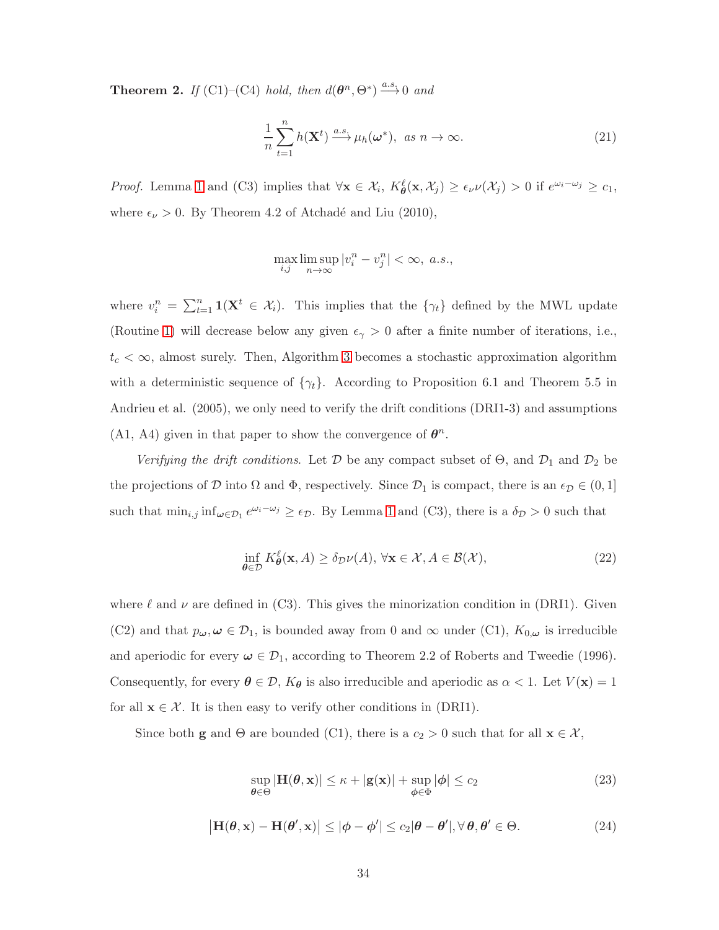**Theorem 2.** *If* (C1)–(C4) *hold, then*  $d(\boldsymbol{\theta}^n, \Theta^*) \stackrel{a.s.}{\longrightarrow} 0$  *and* 

$$
\frac{1}{n}\sum_{t=1}^{n}h(\mathbf{X}^{t})\xrightarrow{a.s}\mu_{h}(\boldsymbol{\omega}^{*}), \text{ as } n \to \infty.
$$
\n(21)

*Proof.* Lemma 1 and (C3) implies that  $\forall \mathbf{x} \in \mathcal{X}_i$ ,  $K_\theta^{\ell}(\mathbf{x}, \mathcal{X}_j) \geq \epsilon_\nu \nu(\mathcal{X}_j) > 0$  if  $e^{\omega_i - \omega_j} \geq c_1$ , where  $\epsilon_{\nu} > 0$ . By Theorem 4.2 of Atchadé and Liu (2010),

$$
\max_{i,j}\limsup_{n\to\infty}|v^n_i-v^n_j|<\infty,~a.s.,
$$

where  $v_i^n = \sum_{t=1}^n \mathbf{1}(\mathbf{X}^t \in \mathcal{X}_i)$ . This implies that the  $\{\gamma_t\}$  defined by the MWL update (Routine 1) will decrease below any given  $\epsilon_{\gamma} > 0$  after a finite number of iterations, i.e.,  $t_c < \infty$ , almost surely. Then, Algorithm [3](#page-31-0) becomes a stochastic approximation algorithm with a deterministic sequence of  $\{\gamma_t\}$ . According to Proposition 6.1 and Theorem 5.5 in Andrieu et al. (2005), we only need to verify the drift conditions (DRI1-3) and assumptions (A1, A4) given in that paper to show the convergence of  $\theta^n$ .

*Verifying the drift conditions.* Let  $D$  be any compact subset of  $\Theta$ , and  $D_1$  and  $D_2$  be the projections of D into  $\Omega$  and  $\Phi$ , respectively. Since  $\mathcal{D}_1$  is compact, there is an  $\epsilon_{\mathcal{D}} \in (0, 1]$ such that  $\min_{i,j} \inf_{\omega \in \mathcal{D}_1} e^{\omega_i - \omega_j} \geq \epsilon_{\mathcal{D}}$ . By Lemma 1 and (C3), there is a  $\delta_{\mathcal{D}} > 0$  such that

$$
\inf_{\theta \in \mathcal{D}} K_{\theta}^{\ell}(\mathbf{x}, A) \ge \delta_{\mathcal{D}} \nu(A), \forall \mathbf{x} \in \mathcal{X}, A \in \mathcal{B}(\mathcal{X}),
$$
\n(22)

where  $\ell$  and  $\nu$  are defined in (C3). This gives the minorization condition in (DRI1). Given (C2) and that  $p_{\omega}, \omega \in \mathcal{D}_1$ , is bounded away from 0 and  $\infty$  under (C1),  $K_{0,\omega}$  is irreducible and aperiodic for every  $\omega \in \mathcal{D}_1$ , according to Theorem 2.2 of Roberts and Tweedie (1996). Consequently, for every  $\theta \in \mathcal{D}$ ,  $K_{\theta}$  is also irreducible and aperiodic as  $\alpha < 1$ . Let  $V(\mathbf{x}) = 1$ for all  $\mathbf{x} \in \mathcal{X}$ . It is then easy to verify other conditions in (DRI1).

Since both **g** and  $\Theta$  are bounded (C1), there is a  $c_2 > 0$  such that for all  $\mathbf{x} \in \mathcal{X}$ ,

$$
\sup_{\theta \in \Theta} |\mathbf{H}(\theta, \mathbf{x})| \le \kappa + |\mathbf{g}(\mathbf{x})| + \sup_{\phi \in \Phi} |\phi| \le c_2
$$
\n(23)

$$
\left|\mathbf{H}(\boldsymbol{\theta}, \mathbf{x}) - \mathbf{H}(\boldsymbol{\theta}', \mathbf{x})\right| \le |\boldsymbol{\phi} - \boldsymbol{\phi}'| \le c_2 |\boldsymbol{\theta} - \boldsymbol{\theta}'|, \forall \boldsymbol{\theta}, \boldsymbol{\theta}' \in \Theta.
$$
 (24)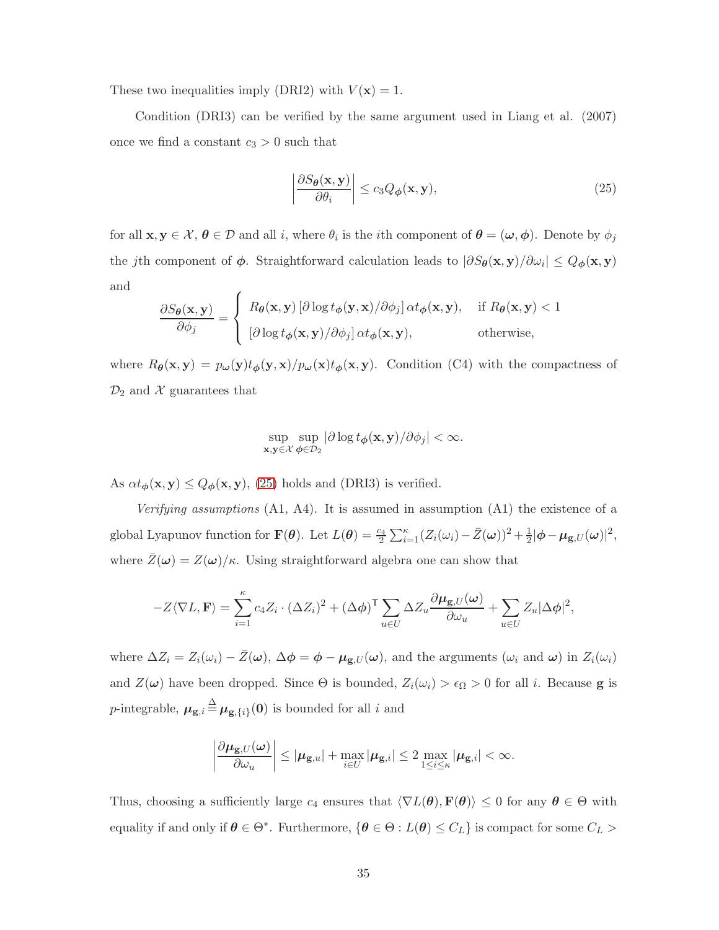These two inequalities imply (DRI2) with  $V(\mathbf{x}) = 1$ .

Condition (DRI3) can be verified by the same argument used in Liang et al. (2007) once we find a constant  $c_3 > 0$  such that

$$
\left| \frac{\partial S_{\theta}(\mathbf{x}, \mathbf{y})}{\partial \theta_i} \right| \le c_3 Q_{\phi}(\mathbf{x}, \mathbf{y}),\tag{25}
$$

for all  $\mathbf{x}, \mathbf{y} \in \mathcal{X}, \boldsymbol{\theta} \in \mathcal{D}$  and all i, where  $\theta_i$  is the ith component of  $\boldsymbol{\theta} = (\boldsymbol{\omega}, \boldsymbol{\phi})$ . Denote by  $\phi_j$ the jth component of  $\phi$ . Straightforward calculation leads to  $|\partial S_{\theta}(\mathbf{x}, \mathbf{y})/\partial \omega_i| \leq Q_{\phi}(\mathbf{x}, \mathbf{y})$ and  $\overline{\phantom{a}}$ 

$$
\frac{\partial S_{\theta}(\mathbf{x}, \mathbf{y})}{\partial \phi_j} = \begin{cases} R_{\theta}(\mathbf{x}, \mathbf{y}) \left[ \partial \log t_{\phi}(\mathbf{y}, \mathbf{x}) / \partial \phi_j \right] \alpha t_{\phi}(\mathbf{x}, \mathbf{y}), & \text{if } R_{\theta}(\mathbf{x}, \mathbf{y}) < 1 \\ \left[ \partial \log t_{\phi}(\mathbf{x}, \mathbf{y}) / \partial \phi_j \right] \alpha t_{\phi}(\mathbf{x}, \mathbf{y}), & \text{otherwise,} \end{cases}
$$

where  $R_{\theta}(\mathbf{x}, \mathbf{y}) = p_{\omega}(\mathbf{y}) t_{\phi}(\mathbf{y}, \mathbf{x})/p_{\omega}(\mathbf{x}) t_{\phi}(\mathbf{x}, \mathbf{y})$ . Condition (C4) with the compactness of  $\mathcal{D}_2$  and X guarantees that

$$
\sup_{\mathbf{x},\mathbf{y}\in\mathcal{X}}\sup_{\phi\in\mathcal{D}_2}|\partial\log t_{\phi}(\mathbf{x},\mathbf{y})/\partial\phi_j|<\infty.
$$

As  $\alpha t_{\phi}(\mathbf{x}, \mathbf{y}) \leq Q_{\phi}(\mathbf{x}, \mathbf{y})$ , (25) holds and (DRI3) is verified.

*Verifying assumptions* (A1, A4). It is assumed in assumption (A1) the existence of a global Lyapunov function for  $\mathbf{F}(\boldsymbol{\theta})$ . Let  $L(\boldsymbol{\theta}) = \frac{c_4}{2} \sum_{i=1}^{\kappa} (Z_i(\omega_i) - \bar{Z}(\boldsymbol{\omega}))^2 + \frac{1}{2} |\boldsymbol{\phi} - \boldsymbol{\mu}_{\mathbf{g},U}(\boldsymbol{\omega})|^2$ , where  $\bar{Z}(\omega) = Z(\omega)/\kappa$ . Using straightforward algebra one can show that

$$
-Z\langle \nabla L, \mathbf{F} \rangle = \sum_{i=1}^{\kappa} c_4 Z_i \cdot (\Delta Z_i)^2 + (\Delta \phi)^{\mathsf{T}} \sum_{u \in U} \Delta Z_u \frac{\partial \mu_{\mathbf{g},U}(\omega)}{\partial \omega_u} + \sum_{u \in U} Z_u |\Delta \phi|^2,
$$

where  $\Delta Z_i = Z_i(\omega_i) - \bar{Z}(\omega)$ ,  $\Delta \phi = \phi - \mu_{g,U}(\omega)$ , and the arguments  $(\omega_i \text{ and } \omega)$  in  $Z_i(\omega_i)$ and  $Z(\omega)$  have been dropped. Since  $\Theta$  is bounded,  $Z_i(\omega_i) > \epsilon_{\Omega} > 0$  for all i. Because **g** is p-integrable,  $\mu_{g,i} \triangleq \mu_{g,\lbrace i \rbrace}(0)$  is bounded for all i and

$$
\left|\frac{\partial \mu_{\mathbf{g},U}(\omega)}{\partial \omega_u}\right| \leq |\mu_{\mathbf{g},u}| + \max_{i \in U} |\mu_{\mathbf{g},i}| \leq 2 \max_{1 \leq i \leq \kappa} |\mu_{\mathbf{g},i}| < \infty.
$$

Thus, choosing a sufficiently large  $c_4$  ensures that  $\langle \nabla L(\theta), \mathbf{F}(\theta) \rangle \leq 0$  for any  $\theta \in \Theta$  with equality if and only if  $\theta \in \Theta^*$ . Furthermore,  $\{\theta \in \Theta : L(\theta) \leq C_L\}$  is compact for some  $C_L$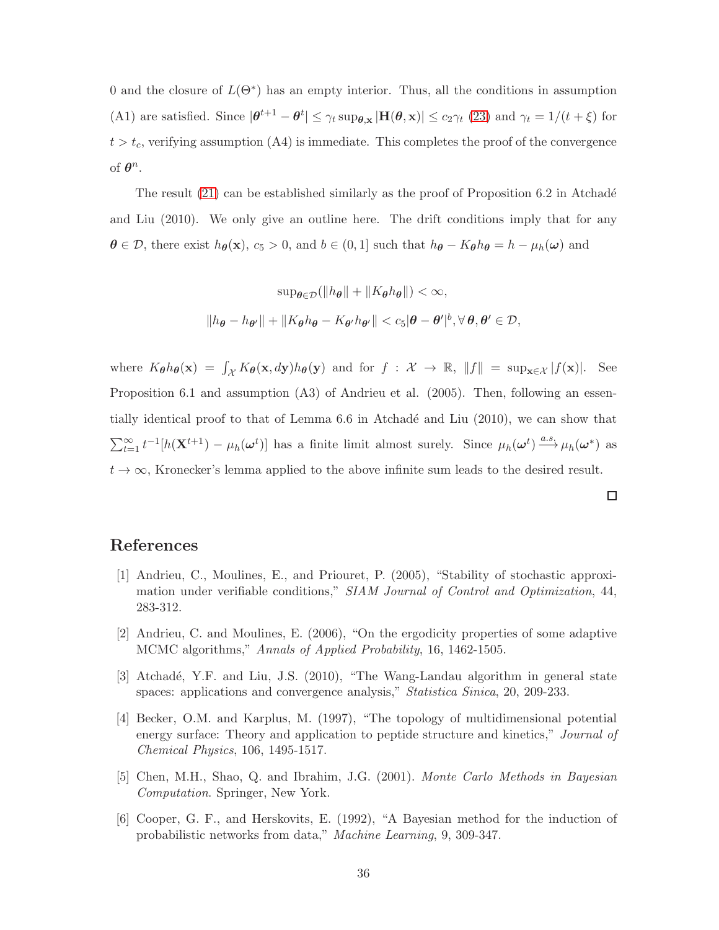0 and the closure of  $L(\Theta^*)$  has an empty interior. Thus, all the conditions in assumption (A1) are satisfied. Since  $|\theta^{t+1} - \theta^t| \leq \gamma_t \sup_{\theta, \mathbf{x}} |\mathbf{H}(\theta, \mathbf{x})| \leq c_2 \gamma_t (23)$  and  $\gamma_t = 1/(t + \xi)$  for  $t > t_c$ , verifying assumption (A4) is immediate. This completes the proof of the convergence of  $\theta^n$ .

The result  $(21)$  can be established similarly as the proof of Proposition 6.2 in Atchadé and Liu (2010). We only give an outline here. The drift conditions imply that for any  $\theta \in \mathcal{D}$ , there exist  $h_{\theta}(\mathbf{x})$ ,  $c_5 > 0$ , and  $b \in (0, 1]$  such that  $h_{\theta} - K_{\theta}h_{\theta} = h - \mu_h(\boldsymbol{\omega})$  and

$$
\sup_{\theta \in \mathcal{D}} (\|h_{\theta}\| + \|K_{\theta}h_{\theta}\|) < \infty,
$$
\n
$$
\|h_{\theta} - h_{\theta'}\| + \|K_{\theta}h_{\theta} - K_{\theta'}h_{\theta'}\| < c_5|\theta - \theta'|^b, \forall \theta, \theta' \in \mathcal{D},
$$

where  $K_{\theta}h_{\theta}(\mathbf{x}) = \int_{\mathcal{X}} K_{\theta}(\mathbf{x}, dy)h_{\theta}(\mathbf{y})$  and for  $f : \mathcal{X} \to \mathbb{R}, ||f|| = \sup_{\mathbf{x} \in \mathcal{X}} |f(\mathbf{x})|$ . See Proposition 6.1 and assumption (A3) of Andrieu et al. (2005). Then, following an essentially identical proof to that of Lemma  $6.6$  in Atchadé and Liu  $(2010)$ , we can show that  $\sum_{t=1}^{\infty} t^{-1} [h(\mathbf{X}^{t+1}) - \mu_h(\boldsymbol{\omega}^t)]$  has a finite limit almost surely. Since  $\mu_h(\boldsymbol{\omega}^t) \stackrel{a.s.}{\longrightarrow} \mu_h(\boldsymbol{\omega}^*)$  as  $t \to \infty$ , Kronecker's lemma applied to the above infinite sum leads to the desired result.

 $\Box$ 

## References

- [1] Andrieu, C., Moulines, E., and Priouret, P. (2005), "Stability of stochastic approximation under verifiable conditions," *SIAM Journal of Control and Optimization*, 44, 283-312.
- [2] Andrieu, C. and Moulines, E. (2006), "On the ergodicity properties of some adaptive MCMC algorithms," *Annals of Applied Probability*, 16, 1462-1505.
- [3] Atchadé, Y.F. and Liu, J.S. (2010), "The Wang-Landau algorithm in general state spaces: applications and convergence analysis," *Statistica Sinica*, 20, 209-233.
- [4] Becker, O.M. and Karplus, M. (1997), "The topology of multidimensional potential energy surface: Theory and application to peptide structure and kinetics," *Journal of Chemical Physics*, 106, 1495-1517.
- [5] Chen, M.H., Shao, Q. and Ibrahim, J.G. (2001). *Monte Carlo Methods in Bayesian Computation*. Springer, New York.
- [6] Cooper, G. F., and Herskovits, E. (1992), "A Bayesian method for the induction of probabilistic networks from data," *Machine Learning*, 9, 309-347.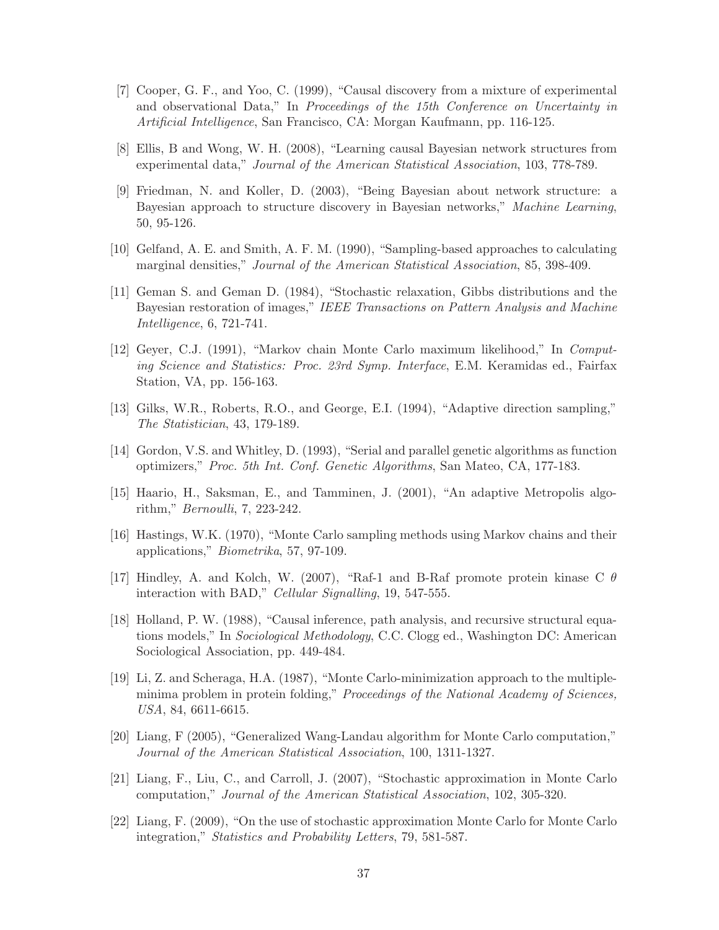- [7] Cooper, G. F., and Yoo, C. (1999), "Causal discovery from a mixture of experimental and observational Data," In *Proceedings of the 15th Conference on Uncertainty in Artificial Intelligence*, San Francisco, CA: Morgan Kaufmann, pp. 116-125.
- [8] Ellis, B and Wong, W. H. (2008), "Learning causal Bayesian network structures from experimental data," *Journal of the American Statistical Association*, 103, 778-789.
- [9] Friedman, N. and Koller, D. (2003), "Being Bayesian about network structure: a Bayesian approach to structure discovery in Bayesian networks," *Machine Learning*, 50, 95-126.
- [10] Gelfand, A. E. and Smith, A. F. M. (1990), "Sampling-based approaches to calculating marginal densities," *Journal of the American Statistical Association*, 85, 398-409.
- [11] Geman S. and Geman D. (1984), "Stochastic relaxation, Gibbs distributions and the Bayesian restoration of images," *IEEE Transactions on Pattern Analysis and Machine Intelligence*, 6, 721-741.
- [12] Geyer, C.J. (1991), "Markov chain Monte Carlo maximum likelihood," In *Computing Science and Statistics: Proc. 23rd Symp. Interface*, E.M. Keramidas ed., Fairfax Station, VA, pp. 156-163.
- [13] Gilks, W.R., Roberts, R.O., and George, E.I. (1994), "Adaptive direction sampling," *The Statistician*, 43, 179-189.
- [14] Gordon, V.S. and Whitley, D. (1993), "Serial and parallel genetic algorithms as function optimizers," *Proc. 5th Int. Conf. Genetic Algorithms*, San Mateo, CA, 177-183.
- [15] Haario, H., Saksman, E., and Tamminen, J. (2001), "An adaptive Metropolis algorithm," *Bernoulli*, 7, 223-242.
- [16] Hastings, W.K. (1970), "Monte Carlo sampling methods using Markov chains and their applications," *Biometrika*, 57, 97-109.
- [17] Hindley, A. and Kolch, W. (2007), "Raf-1 and B-Raf promote protein kinase C  $\theta$ interaction with BAD," *Cellular Signalling*, 19, 547-555.
- [18] Holland, P. W. (1988), "Causal inference, path analysis, and recursive structural equations models," In *Sociological Methodology*, C.C. Clogg ed., Washington DC: American Sociological Association, pp. 449-484.
- [19] Li, Z. and Scheraga, H.A. (1987), "Monte Carlo-minimization approach to the multipleminima problem in protein folding," *Proceedings of the National Academy of Sciences, USA*, 84, 6611-6615.
- [20] Liang, F (2005), "Generalized Wang-Landau algorithm for Monte Carlo computation," *Journal of the American Statistical Association*, 100, 1311-1327.
- [21] Liang, F., Liu, C., and Carroll, J. (2007), "Stochastic approximation in Monte Carlo computation," *Journal of the American Statistical Association*, 102, 305-320.
- [22] Liang, F. (2009), "On the use of stochastic approximation Monte Carlo for Monte Carlo integration," *Statistics and Probability Letters*, 79, 581-587.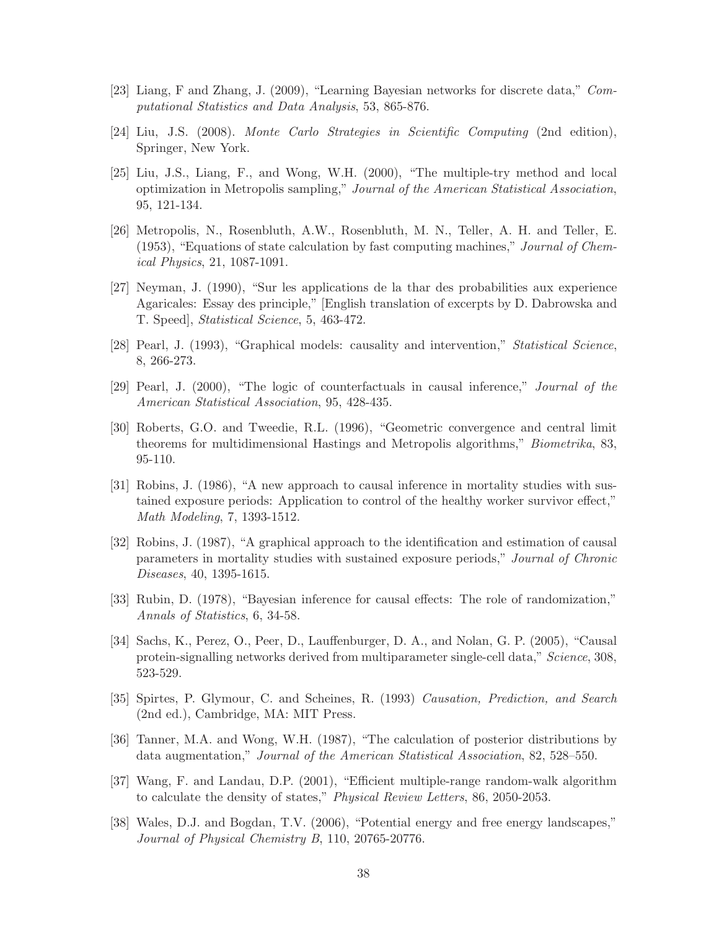- [23] Liang, F and Zhang, J. (2009), "Learning Bayesian networks for discrete data," *Computational Statistics and Data Analysis*, 53, 865-876.
- [24] Liu, J.S. (2008). *Monte Carlo Strategies in Scientific Computing* (2nd edition), Springer, New York.
- [25] Liu, J.S., Liang, F., and Wong, W.H. (2000), "The multiple-try method and local optimization in Metropolis sampling," *Journal of the American Statistical Association*, 95, 121-134.
- [26] Metropolis, N., Rosenbluth, A.W., Rosenbluth, M. N., Teller, A. H. and Teller, E. (1953), "Equations of state calculation by fast computing machines," *Journal of Chemical Physics*, 21, 1087-1091.
- [27] Neyman, J. (1990), "Sur les applications de la thar des probabilities aux experience Agaricales: Essay des principle," [English translation of excerpts by D. Dabrowska and T. Speed], *Statistical Science*, 5, 463-472.
- [28] Pearl, J. (1993), "Graphical models: causality and intervention," *Statistical Science*, 8, 266-273.
- [29] Pearl, J. (2000), "The logic of counterfactuals in causal inference," *Journal of the American Statistical Association*, 95, 428-435.
- [30] Roberts, G.O. and Tweedie, R.L. (1996), "Geometric convergence and central limit theorems for multidimensional Hastings and Metropolis algorithms," *Biometrika*, 83, 95-110.
- [31] Robins, J. (1986), "A new approach to causal inference in mortality studies with sustained exposure periods: Application to control of the healthy worker survivor effect," *Math Modeling*, 7, 1393-1512.
- [32] Robins, J. (1987), "A graphical approach to the identification and estimation of causal parameters in mortality studies with sustained exposure periods," *Journal of Chronic Diseases*, 40, 1395-1615.
- [33] Rubin, D. (1978), "Bayesian inference for causal effects: The role of randomization," *Annals of Statistics*, 6, 34-58.
- [34] Sachs, K., Perez, O., Peer, D., Lauffenburger, D. A., and Nolan, G. P. (2005), "Causal protein-signalling networks derived from multiparameter single-cell data," *Science*, 308, 523-529.
- [35] Spirtes, P. Glymour, C. and Scheines, R. (1993) *Causation, Prediction, and Search* (2nd ed.), Cambridge, MA: MIT Press.
- [36] Tanner, M.A. and Wong, W.H. (1987), "The calculation of posterior distributions by data augmentation," *Journal of the American Statistical Association*, 82, 528–550.
- [37] Wang, F. and Landau, D.P. (2001), "Efficient multiple-range random-walk algorithm to calculate the density of states," *Physical Review Letters*, 86, 2050-2053.
- [38] Wales, D.J. and Bogdan, T.V. (2006), "Potential energy and free energy landscapes," *Journal of Physical Chemistry B*, 110, 20765-20776.